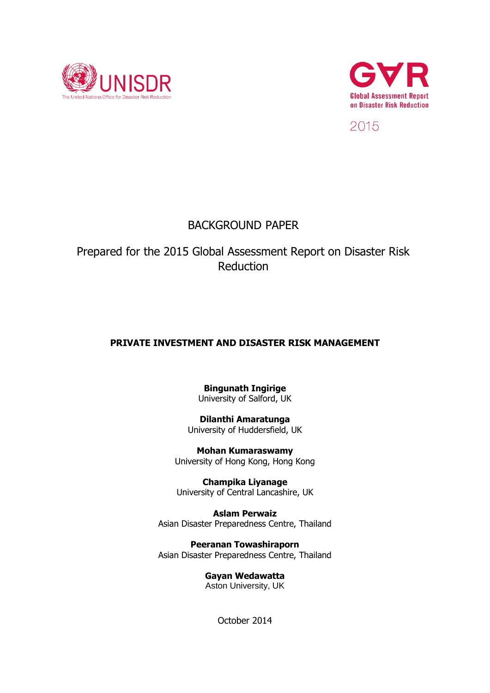



2015

## BACKGROUND PAPER

## Prepared for the 2015 Global Assessment Report on Disaster Risk Reduction

## **PRIVATE INVESTMENT AND DISASTER RISK MANAGEMENT**

**Bingunath Ingirige** University of Salford, UK

**Dilanthi Amaratunga** University of Huddersfield, UK

**Mohan Kumaraswamy** University of Hong Kong, Hong Kong

**Champika Liyanage** University of Central Lancashire, UK

**Aslam Perwaiz** Asian Disaster Preparedness Centre, Thailand

**Peeranan Towashiraporn** Asian Disaster Preparedness Centre, Thailand

> **Gayan Wedawatta** Aston University, UK

> > October 2014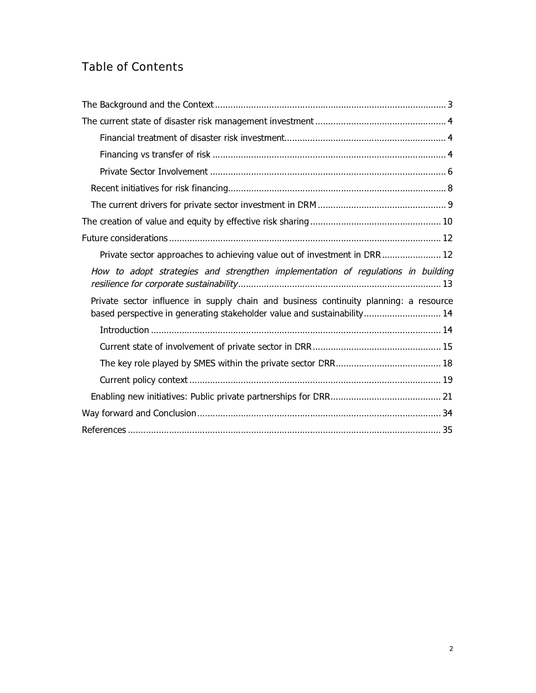# **Table of Contents**

| Private sector approaches to achieving value out of investment in DRR  12                                                                                        |
|------------------------------------------------------------------------------------------------------------------------------------------------------------------|
| How to adopt strategies and strengthen implementation of regulations in building                                                                                 |
| Private sector influence in supply chain and business continuity planning: a resource<br>based perspective in generating stakeholder value and sustainability 14 |
|                                                                                                                                                                  |
|                                                                                                                                                                  |
|                                                                                                                                                                  |
|                                                                                                                                                                  |
|                                                                                                                                                                  |
|                                                                                                                                                                  |
|                                                                                                                                                                  |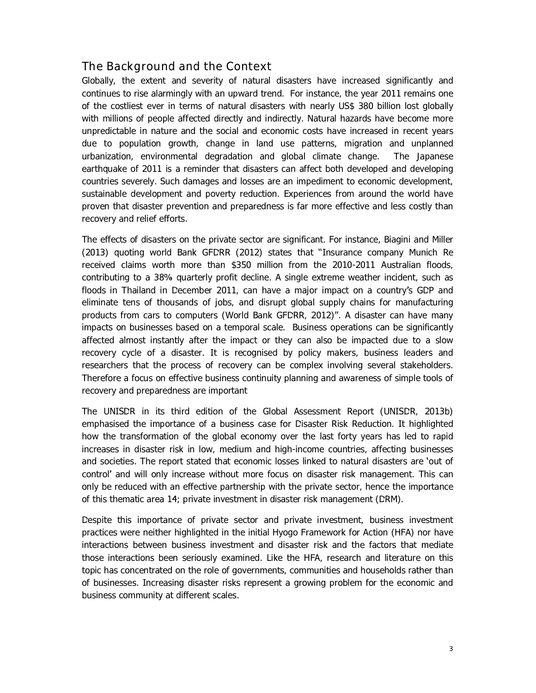## **The Background and the Context**

Globally, the extent and severity of natural disasters have increased significantly and continues to rise alarmingly with an upward trend. For instance, the year 2011 remains one of the costliest ever in terms of natural disasters with nearly US\$ 380 billion lost globally with millions of people affected directly and indirectly. Natural hazards have become more unpredictable in nature and the social and economic costs have increased in recent years due to population growth, change in land use patterns, migration and unplanned urbanization, environmental degradation and global climate change. The Japanese earthquake of 2011 is a reminder that disasters can affect both developed and developing countries severely. Such damages and losses are an impediment to economic development, sustainable development and poverty reduction. Experiences from around the world have proven that disaster prevention and preparedness is far more effective and less costly than recovery and relief efforts.

The effects of disasters on the private sector are significant. For instance, Biagini and Miller (2013) quoting world Bank GFDRR (2012) states that "Insurance company Munich Re received claims worth more than \$350 million from the 2010-2011 Australian floods, contributing to a 38% quarterly profit decline. A single extreme weather incident, such as floods in Thailand in December 2011, can have a major impact on a country's GDP and eliminate tens of thousands of jobs, and disrupt global supply chains for manufacturing products from cars to computers (World Bank GFDRR, 2012)". A disaster can have many impacts on businesses based on a temporal scale. Business operations can be significantly affected almost instantly after the impact or they can also be impacted due to a slow recovery cycle of a disaster. It is recognised by policy makers, business leaders and researchers that the process of recovery can be complex involving several stakeholders. Therefore a focus on effective business continuity planning and awareness of simple tools of recovery and preparedness are important

The UNISDR in its third edition of the Global Assessment Report (UNISDR, 2013b) emphasised the importance of a business case for Disaster Risk Reduction. It highlighted how the transformation of the global economy over the last forty years has led to rapid increases in disaster risk in low, medium and high-income countries, affecting businesses and societies. The report stated that economic losses linked to natural disasters are 'out of control' and will only increase without more focus on disaster risk management. This can only be reduced with an effective partnership with the private sector, hence the importance of this thematic area 14; private investment in disaster risk management (DRM).

Despite this importance of private sector and private investment, business investment practices were neither highlighted in the initial Hyogo Framework for Action (HFA) nor have interactions between business investment and disaster risk and the factors that mediate those interactions been seriously examined. Like the HFA, research and literature on this topic has concentrated on the role of governments, communities and households rather than of businesses. Increasing disaster risks represent a growing problem for the economic and business community at different scales.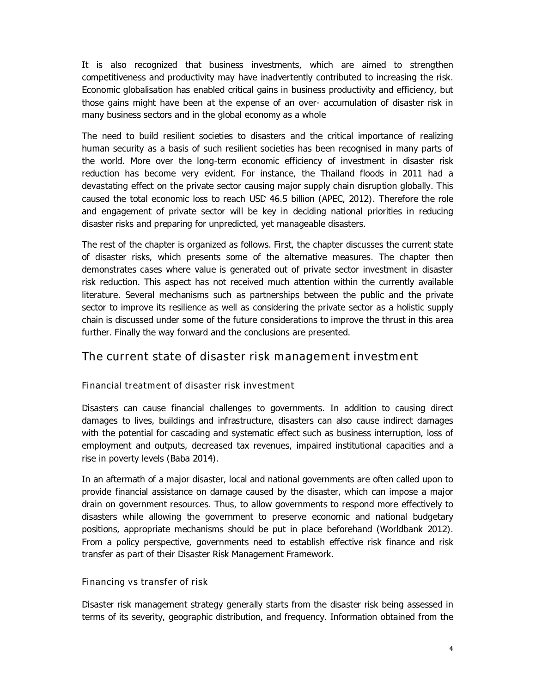It is also recognized that business investments, which are aimed to strengthen competitiveness and productivity may have inadvertently contributed to increasing the risk. Economic globalisation has enabled critical gains in business productivity and efficiency, but those gains might have been at the expense of an over- accumulation of disaster risk in many business sectors and in the global economy as a whole

The need to build resilient societies to disasters and the critical importance of realizing human security as a basis of such resilient societies has been recognised in many parts of the world. More over the long-term economic efficiency of investment in disaster risk reduction has become very evident. For instance, the Thailand floods in 2011 had a devastating effect on the private sector causing major supply chain disruption globally. This caused the total economic loss to reach USD 46.5 billion (APEC, 2012). Therefore the role and engagement of private sector will be key in deciding national priorities in reducing disaster risks and preparing for unpredicted, yet manageable disasters.

The rest of the chapter is organized as follows. First, the chapter discusses the current state of disaster risks, which presents some of the alternative measures. The chapter then demonstrates cases where value is generated out of private sector investment in disaster risk reduction. This aspect has not received much attention within the currently available literature. Several mechanisms such as partnerships between the public and the private sector to improve its resilience as well as considering the private sector as a holistic supply chain is discussed under some of the future considerations to improve the thrust in this area further. Finally the way forward and the conclusions are presented.

## **The current state of disaster risk management investment**

#### **Financial treatment of disaster risk investment**

Disasters can cause financial challenges to governments. In addition to causing direct damages to lives, buildings and infrastructure, disasters can also cause indirect damages with the potential for cascading and systematic effect such as business interruption, loss of employment and outputs, decreased tax revenues, impaired institutional capacities and a rise in poverty levels (Baba 2014).

In an aftermath of a major disaster, local and national governments are often called upon to provide financial assistance on damage caused by the disaster, which can impose a major drain on government resources. Thus, to allow governments to respond more effectively to disasters while allowing the government to preserve economic and national budgetary positions, appropriate mechanisms should be put in place beforehand (Worldbank 2012). From a policy perspective, governments need to establish effective risk finance and risk transfer as part of their Disaster Risk Management Framework.

#### **Financing vs transfer of risk**

Disaster risk management strategy generally starts from the disaster risk being assessed in terms of its severity, geographic distribution, and frequency. Information obtained from the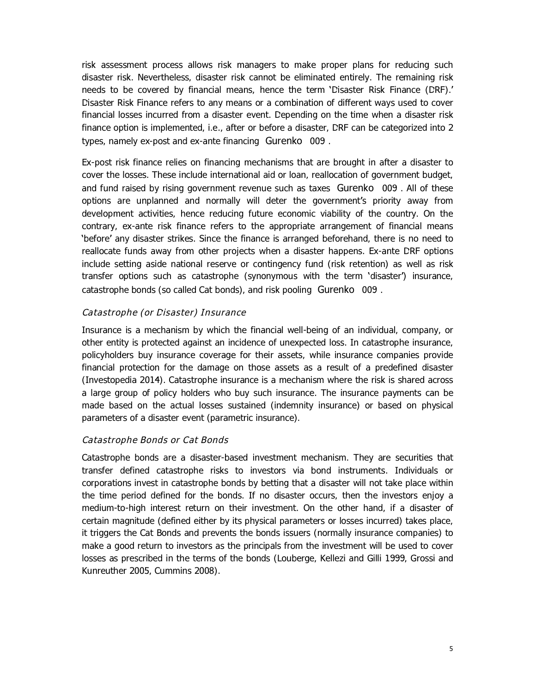risk assessment process allows risk managers to make proper plans for reducing such disaster risk. Nevertheless, disaster risk cannot be eliminated entirely. The remaining risk needs to be covered by financial means, hence the term 'Disaster Risk Finance (DRF).' Disaster Risk Finance refers to any means or a combination of different ways used to cover financial losses incurred from a disaster event. Depending on the time when a disaster risk finance option is implemented, i.e., after or before a disaster, DRF can be categorized into 2 types, namely ex-post and ex-ante financing Gurenko 009,

Ex-post risk finance relies on financing mechanisms that are brought in after a disaster to cover the losses. These include international aid or loan, reallocation of government budget, and fund raised by rising government revenue such as taxes Gurenko 009. All of these options are unplanned and normally will deter the government's priority away from development activities, hence reducing future economic viability of the country. On the contrary, ex-ante risk finance refers to the appropriate arrangement of financial means 'before' any disaster strikes. Since the finance is arranged beforehand, there is no need to reallocate funds away from other projects when a disaster happens. Ex-ante DRF options include setting aside national reserve or contingency fund (risk retention) as well as risk transfer options such as catastrophe (synonymous with the term 'disaster') insurance, catastrophe bonds (so called Cat bonds), and risk pooling Gurenko 009.

#### **Catastrophe (or Disaster) Insurance**

Insurance is a mechanism by which the financial well-being of an individual, company, or other entity is protected against an incidence of unexpected loss. In catastrophe insurance, policyholders buy insurance coverage for their assets, while insurance companies provide financial protection for the damage on those assets as a result of a predefined disaster (Investopedia 2014). Catastrophe insurance is a mechanism where the risk is shared across a large group of policy holders who buy such insurance. The insurance payments can be made based on the actual losses sustained (indemnity insurance) or based on physical parameters of a disaster event (parametric insurance).

#### **Catastrophe Bonds or Cat Bonds**

Catastrophe bonds are a disaster-based investment mechanism. They are securities that transfer defined catastrophe risks to investors via bond instruments. Individuals or corporations invest in catastrophe bonds by betting that a disaster will not take place within the time period defined for the bonds. If no disaster occurs, then the investors enjoy a medium-to-high interest return on their investment. On the other hand, if a disaster of certain magnitude (defined either by its physical parameters or losses incurred) takes place, it triggers the Cat Bonds and prevents the bonds issuers (normally insurance companies) to make a good return to investors as the principals from the investment will be used to cover losses as prescribed in the terms of the bonds (Louberge, Kellezi and Gilli 1999, Grossi and Kunreuther 2005, Cummins 2008).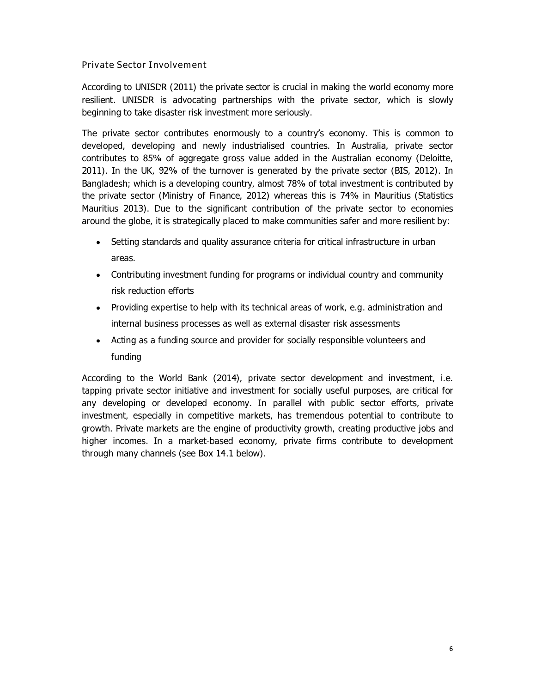#### **Private Sector Involvement**

According to UNISDR (2011) the private sector is crucial in making the world economy more resilient. UNISDR is advocating partnerships with the private sector, which is slowly beginning to take disaster risk investment more seriously.

The private sector contributes enormously to a country's economy. This is common to developed, developing and newly industrialised countries. In Australia, private sector contributes to 85% of aggregate gross value added in the Australian economy (Deloitte, 2011). In the UK, 92% of the turnover is generated by the private sector (BIS, 2012). In Bangladesh; which is a developing country, almost 78% of total investment is contributed by the private sector (Ministry of Finance, 2012) whereas this is 74% in Mauritius (Statistics Mauritius 2013). Due to the significant contribution of the private sector to economies around the globe, it is strategically placed to make communities safer and more resilient by:

- Setting standards and quality assurance criteria for critical infrastructure in urban areas.
- Contributing investment funding for programs or individual country and community risk reduction efforts
- Providing expertise to help with its technical areas of work, e.g. administration and internal business processes as well as external disaster risk assessments
- Acting as a funding source and provider for socially responsible volunteers and funding

According to the World Bank (2014), private sector development and investment, i.e. tapping private sector initiative and investment for socially useful purposes, are critical for any developing or developed economy. In parallel with public sector efforts, private investment, especially in competitive markets, has tremendous potential to contribute to growth. Private markets are the engine of productivity growth, creating productive jobs and higher incomes. In a market-based economy, private firms contribute to development through many channels (see Box 14.1 below).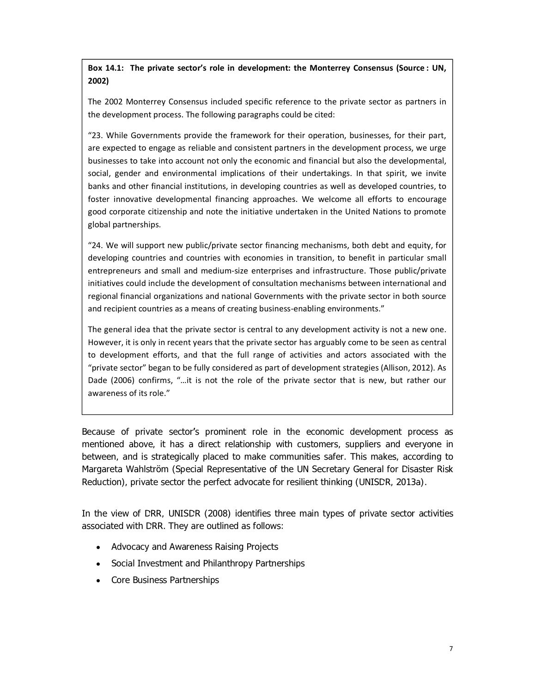### **Box 14.1: The private sector's role in development: the Monterrey Consensus (Source : UN, 2002)**

The 2002 Monterrey Consensus included specific reference to the private sector as partners in the development process. The following paragraphs could be cited:

"23. While Governments provide the framework for their operation, businesses, for their part, are expected to engage as reliable and consistent partners in the development process, we urge businesses to take into account not only the economic and financial but also the developmental, social, gender and environmental implications of their undertakings. In that spirit, we invite banks and other financial institutions, in developing countries as well as developed countries, to foster innovative developmental financing approaches. We welcome all efforts to encourage good corporate citizenship and note the initiative undertaken in the United Nations to promote global partnerships.

"24. We will support new public/private sector financing mechanisms, both debt and equity, for developing countries and countries with economies in transition, to benefit in particular small entrepreneurs and small and medium-size enterprises and infrastructure. Those public/private initiatives could include the development of consultation mechanisms between international and regional financial organizations and national Governments with the private sector in both source and recipient countries as a means of creating business-enabling environments."

The general idea that the private sector is central to any development activity is not a new one. However, it is only in recent years that the private sector has arguably come to be seen as central to development efforts, and that the full range of activities and actors associated with the "private sector" began to be fully considered as part of development strategies (Allison, 2012). As Dade (2006) confirms, "…it is not the role of the private sector that is new, but rather our awareness of its role."

Because of private sector's prominent role in the economic development process as mentioned above, it has a direct relationship with customers, suppliers and everyone in between, and is strategically placed to make communities safer. This makes, according to Margareta Wahlström (Special Representative of the UN Secretary General for Disaster Risk Reduction), private sector the perfect advocate for resilient thinking (UNISDR, 2013a).

In the view of DRR, UNISDR (2008) identifies three main types of private sector activities associated with DRR. They are outlined as follows:

- Advocacy and Awareness Raising Projects
- Social Investment and Philanthropy Partnerships
- Core Business Partnerships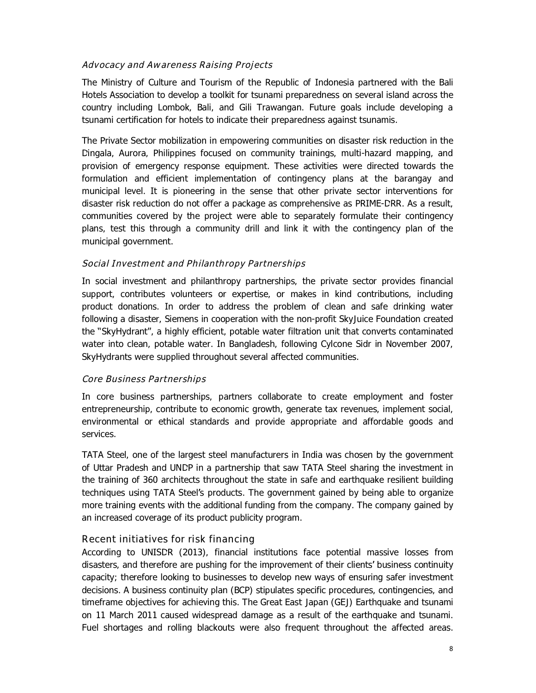#### **Advocacy and Awareness Raising Projects**

The Ministry of Culture and Tourism of the Republic of Indonesia partnered with the Bali Hotels Association to develop a toolkit for tsunami preparedness on several island across the country including Lombok, Bali, and Gili Trawangan. Future goals include developing a tsunami certification for hotels to indicate their preparedness against tsunamis.

The Private Sector mobilization in empowering communities on disaster risk reduction in the Dingala, Aurora, Philippines focused on community trainings, multi-hazard mapping, and provision of emergency response equipment. These activities were directed towards the formulation and efficient implementation of contingency plans at the barangay and municipal level. It is pioneering in the sense that other private sector interventions for disaster risk reduction do not offer a package as comprehensive as PRIME-DRR. As a result, communities covered by the project were able to separately formulate their contingency plans, test this through a community drill and link it with the contingency plan of the municipal government.

#### **Social Investment and Philanthropy Partnerships**

In social investment and philanthropy partnerships, the private sector provides financial support, contributes volunteers or expertise, or makes in kind contributions, including product donations. In order to address the problem of clean and safe drinking water following a disaster, Siemens in cooperation with the non-profit SkyJuice Foundation created the "SkyHydrant", a highly efficient, potable water filtration unit that converts contaminated water into clean, potable water. In Bangladesh, following Cylcone Sidr in November 2007, SkyHydrants were supplied throughout several affected communities.

#### **Core Business Partnerships**

In core business partnerships, partners collaborate to create employment and foster entrepreneurship, contribute to economic growth, generate tax revenues, implement social, environmental or ethical standards and provide appropriate and affordable goods and services.

TATA Steel, one of the largest steel manufacturers in India was chosen by the government of Uttar Pradesh and UNDP in a partnership that saw TATA Steel sharing the investment in the training of 360 architects throughout the state in safe and earthquake resilient building techniques using TATA Steel's products. The government gained by being able to organize more training events with the additional funding from the company. The company gained by an increased coverage of its product publicity program.

#### **Recent initiatives for risk financing**

According to UNISDR (2013), financial institutions face potential massive losses from disasters, and therefore are pushing for the improvement of their clients' business continuity capacity; therefore looking to businesses to develop new ways of ensuring safer investment decisions. A business continuity plan (BCP) stipulates specific procedures, contingencies, and timeframe objectives for achieving this. The Great East Japan (GEJ) Earthquake and tsunami on 11 March 2011 caused widespread damage as a result of the earthquake and tsunami. Fuel shortages and rolling blackouts were also frequent throughout the affected areas.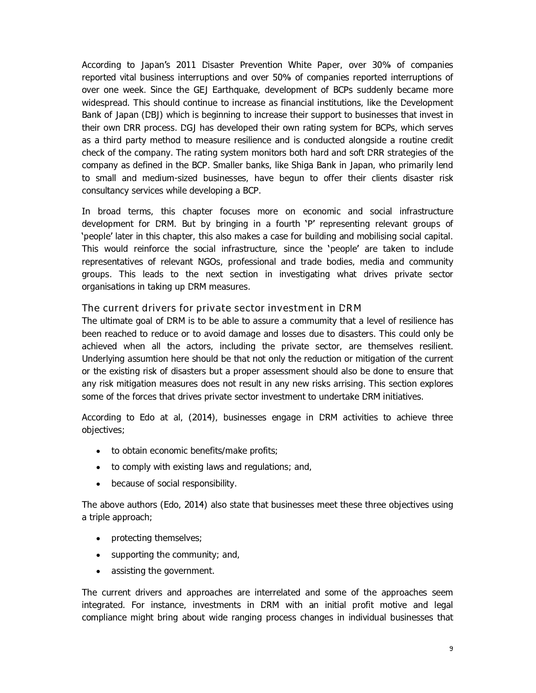According to Japan's 2011 Disaster Prevention White Paper, over 30% of companies reported vital business interruptions and over 50% of companies reported interruptions of over one week. Since the GEJ Earthquake, development of BCPs suddenly became more widespread. This should continue to increase as financial institutions, like the Development Bank of Japan (DBJ) which is beginning to increase their support to businesses that invest in their own DRR process. DGJ has developed their own rating system for BCPs, which serves as a third party method to measure resilience and is conducted alongside a routine credit check of the company. The rating system monitors both hard and soft DRR strategies of the company as defined in the BCP. Smaller banks, like Shiga Bank in Japan, who primarily lend to small and medium-sized businesses, have begun to offer their clients disaster risk consultancy services while developing a BCP.

In broad terms, this chapter focuses more on economic and social infrastructure development for DRM. But by bringing in a fourth 'P' representing relevant groups of 'people' later in this chapter, this also makes a case for building and mobilising social capital. This would reinforce the social infrastructure, since the 'people' are taken to include representatives of relevant NGOs, professional and trade bodies, media and community groups. This leads to the next section in investigating what drives private sector organisations in taking up DRM measures.

#### **The current drivers for private sector investment in DRM**

The ultimate goal of DRM is to be able to assure a commumity that a level of resilience has been reached to reduce or to avoid damage and losses due to disasters. This could only be achieved when all the actors, including the private sector, are themselves resilient. Underlying assumtion here should be that not only the reduction or mitigation of the current or the existing risk of disasters but a proper assessment should also be done to ensure that any risk mitigation measures does not result in any new risks arrising. This section explores some of the forces that drives private sector investment to undertake DRM initiatives.

According to Edo at al, (2014), businesses engage in DRM activities to achieve three objectives;

- to obtain economic benefits/make profits;
- to comply with existing laws and regulations; and,
- because of social responsibility.

The above authors (Edo, 2014) also state that businesses meet these three objectives using a triple approach;

- protecting themselves;
- supporting the community; and,
- assisting the government.

The current drivers and approaches are interrelated and some of the approaches seem integrated. For instance, investments in DRM with an initial profit motive and legal compliance might bring about wide ranging process changes in individual businesses that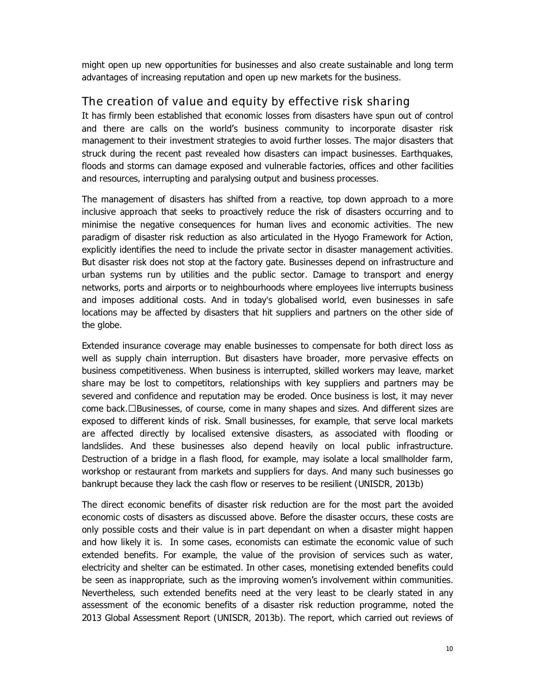might open up new opportunities for businesses and also create sustainable and long term advantages of increasing reputation and open up new markets for the business.

## **The creation of value and equity by effective risk sharing**

It has firmly been established that economic losses from disasters have spun out of control and there are calls on the world's business community to incorporate disaster risk management to their investment strategies to avoid further losses. The major disasters that struck during the recent past revealed how disasters can impact businesses. Earthquakes, floods and storms can damage exposed and vulnerable factories, offices and other facilities and resources, interrupting and paralysing output and business processes.

The management of disasters has shifted from a reactive, top down approach to a more inclusive approach that seeks to proactively reduce the risk of disasters occurring and to minimise the negative consequences for human lives and economic activities. The new paradigm of disaster risk reduction as also articulated in the Hyogo Framework for Action, explicitly identifies the need to include the private sector in disaster management activities. But disaster risk does not stop at the factory gate. Businesses depend on infrastructure and urban systems run by utilities and the public sector. Damage to transport and energy networks, ports and airports or to neighbourhoods where employees live interrupts business and imposes additional costs. And in today's globalised world, even businesses in safe locations may be affected by disasters that hit suppliers and partners on the other side of the globe.

Extended insurance coverage may enable businesses to compensate for both direct loss as well as supply chain interruption. But disasters have broader, more pervasive effects on business competitiveness. When business is interrupted, skilled workers may leave, market share may be lost to competitors, relationships with key suppliers and partners may be severed and confidence and reputation may be eroded. Once business is lost, it may never come back.
Businesses, of course, come in many shapes and sizes. And different sizes are exposed to different kinds of risk. Small businesses, for example, that serve local markets are affected directly by localised extensive disasters, as associated with flooding or landslides. And these businesses also depend heavily on local public infrastructure. Destruction of a bridge in a flash flood, for example, may isolate a local smallholder farm, workshop or restaurant from markets and suppliers for days. And many such businesses go bankrupt because they lack the cash flow or reserves to be resilient (UNISDR, 2013b)

The direct economic benefits of disaster risk reduction are for the most part the avoided economic costs of disasters as discussed above. Before the disaster occurs, these costs are only possible costs and their value is in part dependant on when a disaster might happen and how likely it is. In some cases, economists can estimate the economic value of such extended benefits. For example, the value of the provision of services such as water, electricity and shelter can be estimated. In other cases, monetising extended benefits could be seen as inappropriate, such as the improving women's involvement within communities. Nevertheless, such extended benefits need at the very least to be clearly stated in any assessment of the economic benefits of a disaster risk reduction programme, noted the 2013 Global Assessment Report (UNISDR, 2013b). The report, which carried out reviews of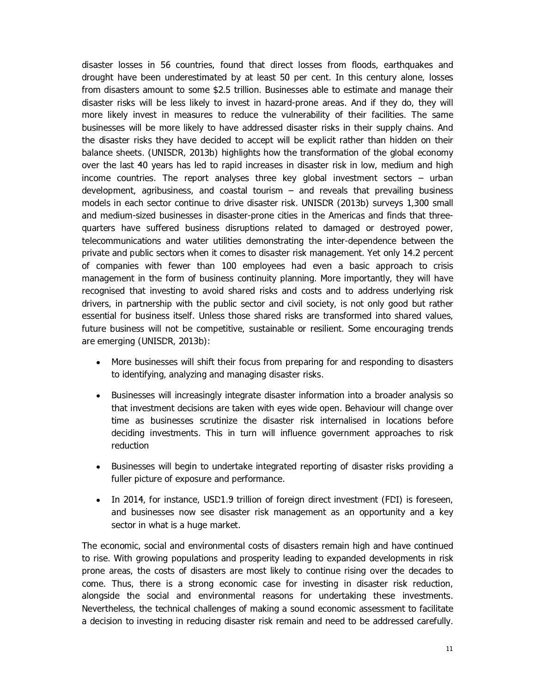disaster losses in 56 countries, found that direct losses from floods, earthquakes and drought have been underestimated by at least 50 per cent. In this century alone, losses from disasters amount to some \$2.5 trillion. Businesses able to estimate and manage their disaster risks will be less likely to invest in hazard-prone areas. And if they do, they will more likely invest in measures to reduce the vulnerability of their facilities. The same businesses will be more likely to have addressed disaster risks in their supply chains. And the disaster risks they have decided to accept will be explicit rather than hidden on their balance sheets. (UNISDR, 2013b) highlights how the transformation of the global economy over the last 40 years has led to rapid increases in disaster risk in low, medium and high income countries. The report analyses three key global investment sectors – urban development, agribusiness, and coastal tourism  $-$  and reveals that prevailing business models in each sector continue to drive disaster risk. UNISDR (2013b) surveys 1,300 small and medium-sized businesses in disaster-prone cities in the Americas and finds that threequarters have suffered business disruptions related to damaged or destroyed power, telecommunications and water utilities demonstrating the inter-dependence between the private and public sectors when it comes to disaster risk management. Yet only 14.2 percent of companies with fewer than 100 employees had even a basic approach to crisis management in the form of business continuity planning. More importantly, they will have recognised that investing to avoid shared risks and costs and to address underlying risk drivers, in partnership with the public sector and civil society, is not only good but rather essential for business itself. Unless those shared risks are transformed into shared values, future business will not be competitive, sustainable or resilient. Some encouraging trends are emerging (UNISDR, 2013b):

- More businesses will shift their focus from preparing for and responding to disasters to identifying, analyzing and managing disaster risks.
- Businesses will increasingly integrate disaster information into a broader analysis so that investment decisions are taken with eyes wide open. Behaviour will change over time as businesses scrutinize the disaster risk internalised in locations before deciding investments. This in turn will influence government approaches to risk reduction
- Businesses will begin to undertake integrated reporting of disaster risks providing a fuller picture of exposure and performance.
- In 2014, for instance, USD1.9 trillion of foreign direct investment (FDI) is foreseen, and businesses now see disaster risk management as an opportunity and a key sector in what is a huge market.

The economic, social and environmental costs of disasters remain high and have continued to rise. With growing populations and prosperity leading to expanded developments in risk prone areas, the costs of disasters are most likely to continue rising over the decades to come. Thus, there is a strong economic case for investing in disaster risk reduction, alongside the social and environmental reasons for undertaking these investments. Nevertheless, the technical challenges of making a sound economic assessment to facilitate a decision to investing in reducing disaster risk remain and need to be addressed carefully.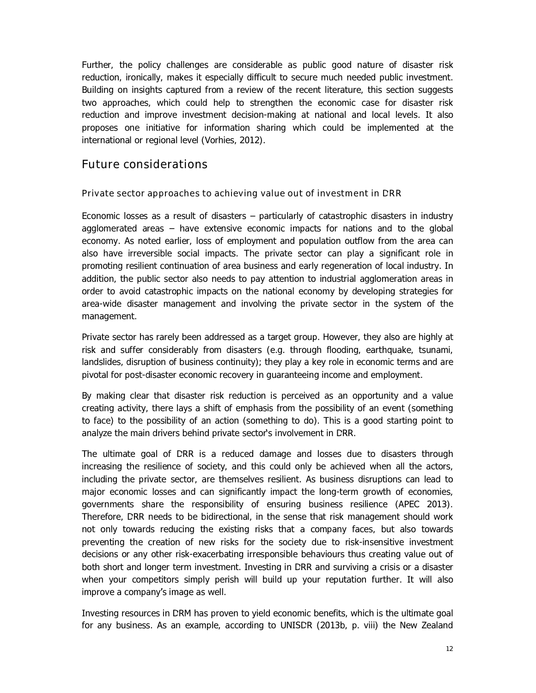Further, the policy challenges are considerable as public good nature of disaster risk reduction, ironically, makes it especially difficult to secure much needed public investment. Building on insights captured from a review of the recent literature, this section suggests two approaches, which could help to strengthen the economic case for disaster risk reduction and improve investment decision-making at national and local levels. It also proposes one initiative for information sharing which could be implemented at the international or regional level (Vorhies, 2012).

## **Future considerations**

**Private sector approaches to achieving value out of investment in DRR** 

Economic losses as a result of disasters – particularly of catastrophic disasters in industry agglomerated areas – have extensive economic impacts for nations and to the global economy. As noted earlier, loss of employment and population outflow from the area can also have irreversible social impacts. The private sector can play a significant role in promoting resilient continuation of area business and early regeneration of local industry. In addition, the public sector also needs to pay attention to industrial agglomeration areas in order to avoid catastrophic impacts on the national economy by developing strategies for area-wide disaster management and involving the private sector in the system of the management.

Private sector has rarely been addressed as a target group. However, they also are highly at risk and suffer considerably from disasters (e.g. through flooding, earthquake, tsunami, landslides, disruption of business continuity); they play a key role in economic terms and are pivotal for post-disaster economic recovery in guaranteeing income and employment.

By making clear that disaster risk reduction is perceived as an opportunity and a value creating activity, there lays a shift of emphasis from the possibility of an event (something to face) to the possibility of an action (something to do). This is a good starting point to analyze the main drivers behind private sector's involvement in DRR.

The ultimate goal of DRR is a reduced damage and losses due to disasters through increasing the resilience of society, and this could only be achieved when all the actors, including the private sector, are themselves resilient. As business disruptions can lead to major economic losses and can significantly impact the long-term growth of economies, governments share the responsibility of ensuring business resilience (APEC 2013). Therefore, DRR needs to be bidirectional, in the sense that risk management should work not only towards reducing the existing risks that a company faces, but also towards preventing the creation of new risks for the society due to risk-insensitive investment decisions or any other risk-exacerbating irresponsible behaviours thus creating value out of both short and longer term investment. Investing in DRR and surviving a crisis or a disaster when your competitors simply perish will build up your reputation further. It will also improve a company's image as well.

Investing resources in DRM has proven to yield economic benefits, which is the ultimate goal for any business. As an example, according to UNISDR (2013b, p. viii) the New Zealand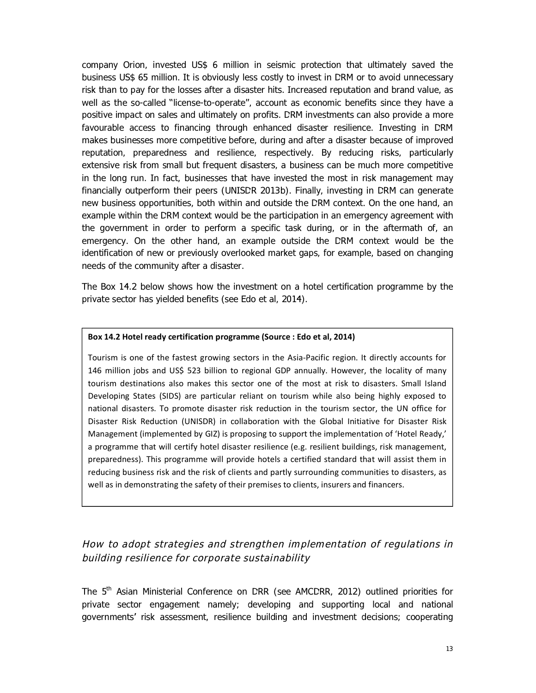company Orion, invested US\$ 6 million in seismic protection that ultimately saved the business US\$ 65 million. It is obviously less costly to invest in DRM or to avoid unnecessary risk than to pay for the losses after a disaster hits. Increased reputation and brand value, as well as the so-called "license-to-operate", account as economic benefits since they have a positive impact on sales and ultimately on profits. DRM investments can also provide a more favourable access to financing through enhanced disaster resilience. Investing in DRM makes businesses more competitive before, during and after a disaster because of improved reputation, preparedness and resilience, respectively. By reducing risks, particularly extensive risk from small but frequent disasters, a business can be much more competitive in the long run. In fact, businesses that have invested the most in risk management may financially outperform their peers (UNISDR 2013b). Finally, investing in DRM can generate new business opportunities, both within and outside the DRM context. On the one hand, an example within the DRM context would be the participation in an emergency agreement with the government in order to perform a specific task during, or in the aftermath of, an emergency. On the other hand, an example outside the DRM context would be the identification of new or previously overlooked market gaps, for example, based on changing needs of the community after a disaster.

The Box 14.2 below shows how the investment on a hotel certification programme by the private sector has yielded benefits (see Edo et al, 2014).

#### **Box 14.2 Hotel ready certification programme (Source : Edo et al, 2014)**

Tourism is one of the fastest growing sectors in the Asia-Pacific region. It directly accounts for 146 million jobs and US\$ 523 billion to regional GDP annually. However, the locality of many tourism destinations also makes this sector one of the most at risk to disasters. Small Island Developing States (SIDS) are particular reliant on tourism while also being highly exposed to national disasters. To promote disaster risk reduction in the tourism sector, the UN office for Disaster Risk Reduction (UNISDR) in collaboration with the Global Initiative for Disaster Risk Management (implemented by GIZ) is proposing to support the implementation of 'Hotel Ready,' a programme that will certify hotel disaster resilience (e.g. resilient buildings, risk management, preparedness). This programme will provide hotels a certified standard that will assist them in reducing business risk and the risk of clients and partly surrounding communities to disasters, as well as in demonstrating the safety of their premises to clients, insurers and financers.

## **How to adopt strategies and strengthen implementation of regulations in building resilience for corporate sustainability**

The 5<sup>th</sup> Asian Ministerial Conference on DRR (see AMCDRR, 2012) outlined priorities for private sector engagement namely; developing and supporting local and national governments' risk assessment, resilience building and investment decisions; cooperating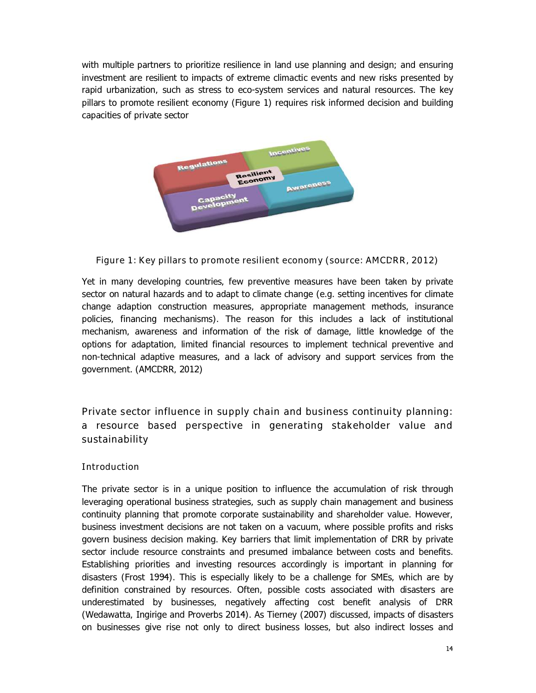with multiple partners to prioritize resilience in land use planning and design; and ensuring investment are resilient to impacts of extreme climactic events and new risks presented by rapid urbanization, such as stress to eco-system services and natural resources. The key pillars to promote resilient economy (Figure 1) requires risk informed decision and building capacities of private sector



**Figure 1: Key pillars to promote resilient economy (source: AMCDRR, 2012)** 

Yet in many developing countries, few preventive measures have been taken by private sector on natural hazards and to adapt to climate change (e.g. setting incentives for climate change adaption construction measures, appropriate management methods, insurance policies, financing mechanisms). The reason for this includes a lack of institutional mechanism, awareness and information of the risk of damage, little knowledge of the options for adaptation, limited financial resources to implement technical preventive and non-technical adaptive measures, and a lack of advisory and support services from the government. (AMCDRR, 2012)

**Private sector influence in supply chain and business continuity planning: a resource based perspective in generating stakeholder value and sustainability** 

#### **Introduction**

The private sector is in a unique position to influence the accumulation of risk through leveraging operational business strategies, such as supply chain management and business continuity planning that promote corporate sustainability and shareholder value. However, business investment decisions are not taken on a vacuum, where possible profits and risks govern business decision making. Key barriers that limit implementation of DRR by private sector include resource constraints and presumed imbalance between costs and benefits. Establishing priorities and investing resources accordingly is important in planning for disasters (Frost 1994). This is especially likely to be a challenge for SMEs, which are by definition constrained by resources. Often, possible costs associated with disasters are underestimated by businesses, negatively affecting cost benefit analysis of DRR (Wedawatta, Ingirige and Proverbs 2014). As Tierney (2007) discussed, impacts of disasters on businesses give rise not only to direct business losses, but also indirect losses and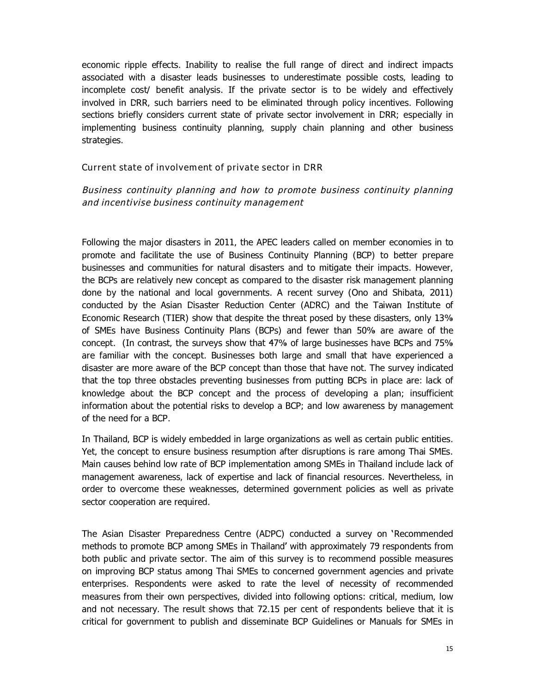economic ripple effects. Inability to realise the full range of direct and indirect impacts associated with a disaster leads businesses to underestimate possible costs, leading to incomplete cost/ benefit analysis. If the private sector is to be widely and effectively involved in DRR, such barriers need to be eliminated through policy incentives. Following sections briefly considers current state of private sector involvement in DRR; especially in implementing business continuity planning, supply chain planning and other business strategies.

**Current state of involvement of private sector in DRR** 

**Business continuity planning and how to promote business continuity planning and incentivise business continuity management** 

Following the major disasters in 2011, the APEC leaders called on member economies in to promote and facilitate the use of Business Continuity Planning (BCP) to better prepare businesses and communities for natural disasters and to mitigate their impacts. However, the BCPs are relatively new concept as compared to the disaster risk management planning done by the national and local governments. A recent survey (Ono and Shibata, 2011) conducted by the Asian Disaster Reduction Center (ADRC) and the Taiwan Institute of Economic Research (TIER) show that despite the threat posed by these disasters, only 13% of SMEs have Business Continuity Plans (BCPs) and fewer than 50% are aware of the concept. (In contrast, the surveys show that 47% of large businesses have BCPs and 75% are familiar with the concept. Businesses both large and small that have experienced a disaster are more aware of the BCP concept than those that have not. The survey indicated that the top three obstacles preventing businesses from putting BCPs in place are: lack of knowledge about the BCP concept and the process of developing a plan; insufficient information about the potential risks to develop a BCP; and low awareness by management of the need for a BCP.

In Thailand, BCP is widely embedded in large organizations as well as certain public entities. Yet, the concept to ensure business resumption after disruptions is rare among Thai SMEs. Main causes behind low rate of BCP implementation among SMEs in Thailand include lack of management awareness, lack of expertise and lack of financial resources. Nevertheless, in order to overcome these weaknesses, determined government policies as well as private sector cooperation are required.

The Asian Disaster Preparedness Centre (ADPC) conducted a survey on 'Recommended methods to promote BCP among SMEs in Thailand' with approximately 79 respondents from both public and private sector. The aim of this survey is to recommend possible measures on improving BCP status among Thai SMEs to concerned government agencies and private enterprises. Respondents were asked to rate the level of necessity of recommended measures from their own perspectives, divided into following options: critical, medium, low and not necessary. The result shows that 72.15 per cent of respondents believe that it is critical for government to publish and disseminate BCP Guidelines or Manuals for SMEs in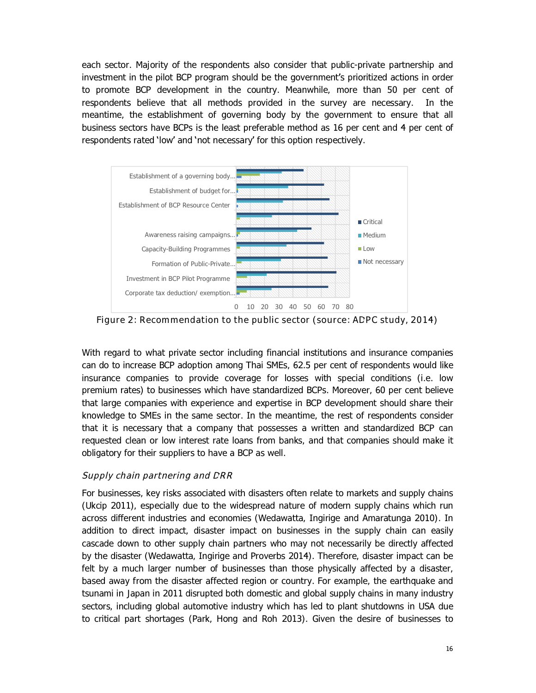each sector. Majority of the respondents also consider that public-private partnership and investment in the pilot BCP program should be the government's prioritized actions in order to promote BCP development in the country. Meanwhile, more than 50 per cent of respondents believe that all methods provided in the survey are necessary. In the meantime, the establishment of governing body by the government to ensure that all business sectors have BCPs is the least preferable method as 16 per cent and 4 per cent of respondents rated 'low' and 'not necessary' for this option respectively.



**Figure 2: Recommendation to the public sector (source: ADPC study, 2014)** 

With regard to what private sector including financial institutions and insurance companies can do to increase BCP adoption among Thai SMEs, 62.5 per cent of respondents would like insurance companies to provide coverage for losses with special conditions (i.e. low premium rates) to businesses which have standardized BCPs. Moreover, 60 per cent believe that large companies with experience and expertise in BCP development should share their knowledge to SMEs in the same sector. In the meantime, the rest of respondents consider that it is necessary that a company that possesses a written and standardized BCP can requested clean or low interest rate loans from banks, and that companies should make it obligatory for their suppliers to have a BCP as well.

#### **Supply chain partnering and DRR**

For businesses, key risks associated with disasters often relate to markets and supply chains (Ukcip 2011), especially due to the widespread nature of modern supply chains which run across different industries and economies (Wedawatta, Ingirige and Amaratunga 2010). In addition to direct impact, disaster impact on businesses in the supply chain can easily cascade down to other supply chain partners who may not necessarily be directly affected by the disaster (Wedawatta, Ingirige and Proverbs 2014). Therefore, disaster impact can be felt by a much larger number of businesses than those physically affected by a disaster, based away from the disaster affected region or country. For example, the earthquake and tsunami in Japan in 2011 disrupted both domestic and global supply chains in many industry sectors, including global automotive industry which has led to plant shutdowns in USA due to critical part shortages (Park, Hong and Roh 2013). Given the desire of businesses to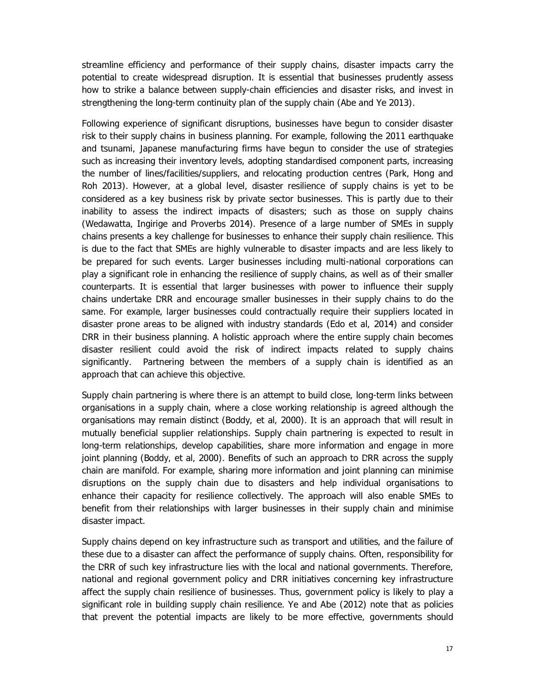streamline efficiency and performance of their supply chains, disaster impacts carry the potential to create widespread disruption. It is essential that businesses prudently assess how to strike a balance between supply-chain efficiencies and disaster risks, and invest in strengthening the long-term continuity plan of the supply chain (Abe and Ye 2013).

Following experience of significant disruptions, businesses have begun to consider disaster risk to their supply chains in business planning. For example, following the 2011 earthquake and tsunami, Japanese manufacturing firms have begun to consider the use of strategies such as increasing their inventory levels, adopting standardised component parts, increasing the number of lines/facilities/suppliers, and relocating production centres (Park, Hong and Roh 2013). However, at a global level, disaster resilience of supply chains is yet to be considered as a key business risk by private sector businesses. This is partly due to their inability to assess the indirect impacts of disasters; such as those on supply chains (Wedawatta, Ingirige and Proverbs 2014). Presence of a large number of SMEs in supply chains presents a key challenge for businesses to enhance their supply chain resilience. This is due to the fact that SMEs are highly vulnerable to disaster impacts and are less likely to be prepared for such events. Larger businesses including multi-national corporations can play a significant role in enhancing the resilience of supply chains, as well as of their smaller counterparts. It is essential that larger businesses with power to influence their supply chains undertake DRR and encourage smaller businesses in their supply chains to do the same. For example, larger businesses could contractually require their suppliers located in disaster prone areas to be aligned with industry standards (Edo et al, 2014) and consider DRR in their business planning. A holistic approach where the entire supply chain becomes disaster resilient could avoid the risk of indirect impacts related to supply chains significantly. Partnering between the members of a supply chain is identified as an approach that can achieve this objective.

Supply chain partnering is where there is an attempt to build close, long-term links between organisations in a supply chain, where a close working relationship is agreed although the organisations may remain distinct (Boddy, et al, 2000). It is an approach that will result in mutually beneficial supplier relationships. Supply chain partnering is expected to result in long-term relationships, develop capabilities, share more information and engage in more joint planning (Boddy, et al, 2000). Benefits of such an approach to DRR across the supply chain are manifold. For example, sharing more information and joint planning can minimise disruptions on the supply chain due to disasters and help individual organisations to enhance their capacity for resilience collectively. The approach will also enable SMEs to benefit from their relationships with larger businesses in their supply chain and minimise disaster impact.

Supply chains depend on key infrastructure such as transport and utilities, and the failure of these due to a disaster can affect the performance of supply chains. Often, responsibility for the DRR of such key infrastructure lies with the local and national governments. Therefore, national and regional government policy and DRR initiatives concerning key infrastructure affect the supply chain resilience of businesses. Thus, government policy is likely to play a significant role in building supply chain resilience. Ye and Abe (2012) note that as policies that prevent the potential impacts are likely to be more effective, governments should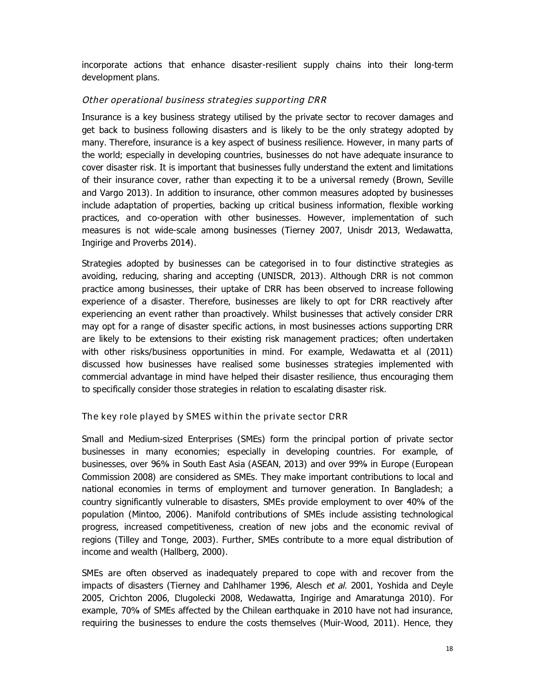incorporate actions that enhance disaster-resilient supply chains into their long-term development plans.

### **Other operational business strategies supporting DRR**

Insurance is a key business strategy utilised by the private sector to recover damages and get back to business following disasters and is likely to be the only strategy adopted by many. Therefore, insurance is a key aspect of business resilience. However, in many parts of the world; especially in developing countries, businesses do not have adequate insurance to cover disaster risk. It is important that businesses fully understand the extent and limitations of their insurance cover, rather than expecting it to be a universal remedy (Brown, Seville and Vargo 2013). In addition to insurance, other common measures adopted by businesses include adaptation of properties, backing up critical business information, flexible working practices, and co-operation with other businesses. However, implementation of such measures is not wide-scale among businesses (Tierney 2007, Unisdr 2013, Wedawatta, Ingirige and Proverbs 2014).

Strategies adopted by businesses can be categorised in to four distinctive strategies as avoiding, reducing, sharing and accepting (UNISDR, 2013). Although DRR is not common practice among businesses, their uptake of DRR has been observed to increase following experience of a disaster. Therefore, businesses are likely to opt for DRR reactively after experiencing an event rather than proactively. Whilst businesses that actively consider DRR may opt for a range of disaster specific actions, in most businesses actions supporting DRR are likely to be extensions to their existing risk management practices; often undertaken with other risks/business opportunities in mind. For example, Wedawatta et al (2011) discussed how businesses have realised some businesses strategies implemented with commercial advantage in mind have helped their disaster resilience, thus encouraging them to specifically consider those strategies in relation to escalating disaster risk.

#### **The key role played by SMES within the private sector DRR**

Small and Medium-sized Enterprises (SMEs) form the principal portion of private sector businesses in many economies; especially in developing countries. For example, of businesses, over 96% in South East Asia (ASEAN, 2013) and over 99% in Europe (European Commission 2008) are considered as SMEs. They make important contributions to local and national economies in terms of employment and turnover generation. In Bangladesh; a country significantly vulnerable to disasters, SMEs provide employment to over 40% of the population (Mintoo, 2006). Manifold contributions of SMEs include assisting technological progress, increased competitiveness, creation of new jobs and the economic revival of regions (Tilley and Tonge, 2003). Further, SMEs contribute to a more equal distribution of income and wealth (Hallberg, 2000).

SMEs are often observed as inadequately prepared to cope with and recover from the impacts of disasters (Tierney and Dahlhamer 1996, Alesch et al. 2001, Yoshida and Deyle 2005, Crichton 2006, Dlugolecki 2008, Wedawatta, Ingirige and Amaratunga 2010). For example, 70% of SMEs affected by the Chilean earthquake in 2010 have not had insurance, requiring the businesses to endure the costs themselves (Muir-Wood, 2011). Hence, they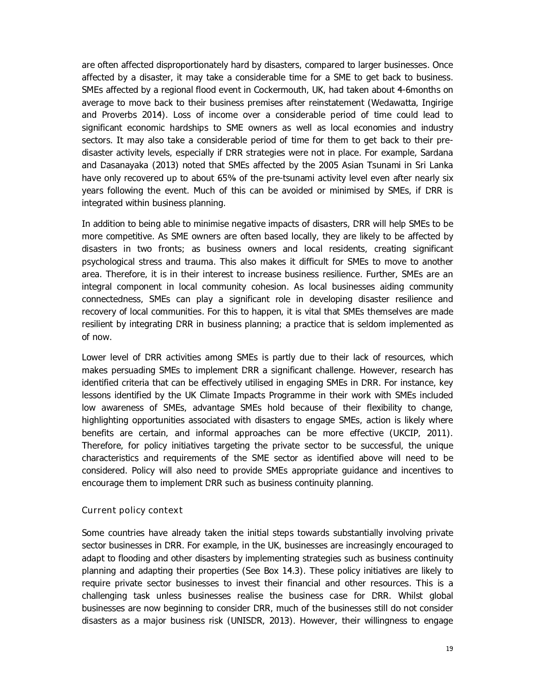are often affected disproportionately hard by disasters, compared to larger businesses. Once affected by a disaster, it may take a considerable time for a SME to get back to business. SMEs affected by a regional flood event in Cockermouth, UK, had taken about 4-6months on average to move back to their business premises after reinstatement (Wedawatta, Ingirige and Proverbs 2014). Loss of income over a considerable period of time could lead to significant economic hardships to SME owners as well as local economies and industry sectors. It may also take a considerable period of time for them to get back to their predisaster activity levels, especially if DRR strategies were not in place. For example, Sardana and Dasanayaka (2013) noted that SMEs affected by the 2005 Asian Tsunami in Sri Lanka have only recovered up to about 65% of the pre-tsunami activity level even after nearly six years following the event. Much of this can be avoided or minimised by SMEs, if DRR is integrated within business planning.

In addition to being able to minimise negative impacts of disasters, DRR will help SMEs to be more competitive. As SME owners are often based locally, they are likely to be affected by disasters in two fronts; as business owners and local residents, creating significant psychological stress and trauma. This also makes it difficult for SMEs to move to another area. Therefore, it is in their interest to increase business resilience. Further, SMEs are an integral component in local community cohesion. As local businesses aiding community connectedness, SMEs can play a significant role in developing disaster resilience and recovery of local communities. For this to happen, it is vital that SMEs themselves are made resilient by integrating DRR in business planning; a practice that is seldom implemented as of now.

Lower level of DRR activities among SMEs is partly due to their lack of resources, which makes persuading SMEs to implement DRR a significant challenge. However, research has identified criteria that can be effectively utilised in engaging SMEs in DRR. For instance, key lessons identified by the UK Climate Impacts Programme in their work with SMEs included low awareness of SMEs, advantage SMEs hold because of their flexibility to change, highlighting opportunities associated with disasters to engage SMEs, action is likely where benefits are certain, and informal approaches can be more effective (UKCIP, 2011). Therefore, for policy initiatives targeting the private sector to be successful, the unique characteristics and requirements of the SME sector as identified above will need to be considered. Policy will also need to provide SMEs appropriate guidance and incentives to encourage them to implement DRR such as business continuity planning.

#### **Current policy context**

Some countries have already taken the initial steps towards substantially involving private sector businesses in DRR. For example, in the UK, businesses are increasingly encouraged to adapt to flooding and other disasters by implementing strategies such as business continuity planning and adapting their properties (See Box 14.3). These policy initiatives are likely to require private sector businesses to invest their financial and other resources. This is a challenging task unless businesses realise the business case for DRR. Whilst global businesses are now beginning to consider DRR, much of the businesses still do not consider disasters as a major business risk (UNISDR, 2013). However, their willingness to engage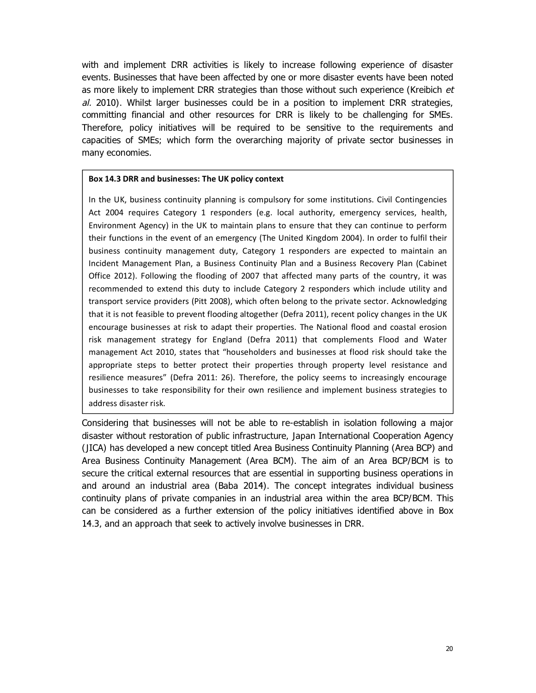with and implement DRR activities is likely to increase following experience of disaster events. Businesses that have been affected by one or more disaster events have been noted as more likely to implement DRR strategies than those without such experience (Kreibich et  $al.$  2010). Whilst larger businesses could be in a position to implement DRR strategies, committing financial and other resources for DRR is likely to be challenging for SMEs. Therefore, policy initiatives will be required to be sensitive to the requirements and capacities of SMEs; which form the overarching majority of private sector businesses in many economies.

#### **Box 14.3 DRR and businesses: The UK policy context**

In the UK, business continuity planning is compulsory for some institutions. Civil Contingencies Act 2004 requires Category 1 responders (e.g. local authority, emergency services, health, Environment Agency) in the UK to maintain plans to ensure that they can continue to perform their functions in the event of an emergency (The United Kingdom 2004). In order to fulfil their business continuity management duty, Category 1 responders are expected to maintain an Incident Management Plan, a Business Continuity Plan and a Business Recovery Plan (Cabinet Office 2012). Following the flooding of 2007 that affected many parts of the country, it was recommended to extend this duty to include Category 2 responders which include utility and transport service providers (Pitt 2008), which often belong to the private sector. Acknowledging that it is not feasible to prevent flooding altogether (Defra 2011), recent policy changes in the UK encourage businesses at risk to adapt their properties. The National flood and coastal erosion risk management strategy for England (Defra 2011) that complements Flood and Water management Act 2010, states that "householders and businesses at flood risk should take the appropriate steps to better protect their properties through property level resistance and resilience measures" (Defra 2011: 26). Therefore, the policy seems to increasingly encourage businesses to take responsibility for their own resilience and implement business strategies to address disaster risk.

Considering that businesses will not be able to re-establish in isolation following a major disaster without restoration of public infrastructure, Japan International Cooperation Agency (JICA) has developed a new concept titled Area Business Continuity Planning (Area BCP) and Area Business Continuity Management (Area BCM). The aim of an Area BCP/BCM is to secure the critical external resources that are essential in supporting business operations in and around an industrial area (Baba 2014). The concept integrates individual business continuity plans of private companies in an industrial area within the area BCP/BCM. This can be considered as a further extension of the policy initiatives identified above in Box 14.3, and an approach that seek to actively involve businesses in DRR.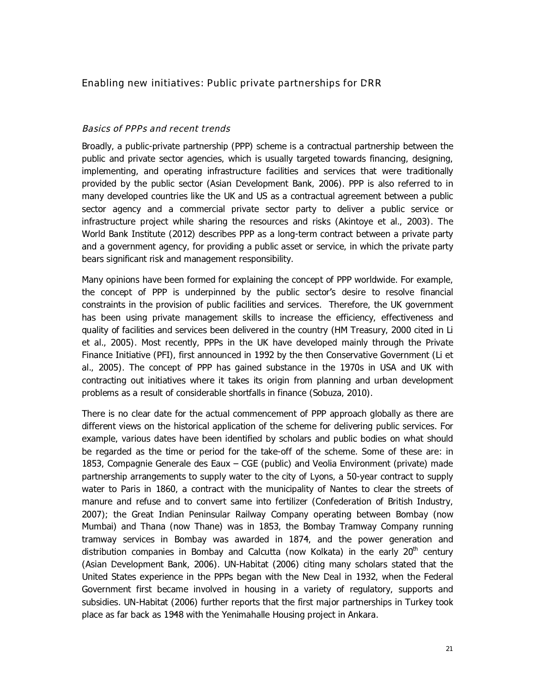### **Enabling new initiatives: Public private partnerships for DRR**

#### **Basics of PPPs and recent trends**

Broadly, a public-private partnership (PPP) scheme is a contractual partnership between the public and private sector agencies, which is usually targeted towards financing, designing, implementing, and operating infrastructure facilities and services that were traditionally provided by the public sector (Asian Development Bank, 2006). PPP is also referred to in many developed countries like the UK and US as a contractual agreement between a public sector agency and a commercial private sector party to deliver a public service or infrastructure project while sharing the resources and risks (Akintoye et al., 2003). The World Bank Institute (2012) describes PPP as a long-term contract between a private party and a government agency, for providing a public asset or service, in which the private party bears significant risk and management responsibility.

Many opinions have been formed for explaining the concept of PPP worldwide. For example, the concept of PPP is underpinned by the public sector's desire to resolve financial constraints in the provision of public facilities and services. Therefore, the UK government has been using private management skills to increase the efficiency, effectiveness and quality of facilities and services been delivered in the country (HM Treasury, 2000 cited in Li et al., 2005). Most recently, PPPs in the UK have developed mainly through the Private Finance Initiative (PFI), first announced in 1992 by the then Conservative Government (Li et al., 2005). The concept of PPP has gained substance in the 1970s in USA and UK with contracting out initiatives where it takes its origin from planning and urban development problems as a result of considerable shortfalls in finance (Sobuza, 2010).

There is no clear date for the actual commencement of PPP approach globally as there are different views on the historical application of the scheme for delivering public services. For example, various dates have been identified by scholars and public bodies on what should be regarded as the time or period for the take-off of the scheme. Some of these are: in 1853, Compagnie Generale des Eaux – CGE (public) and Veolia Environment (private) made partnership arrangements to supply water to the city of Lyons, a 50-year contract to supply water to Paris in 1860, a contract with the municipality of Nantes to clear the streets of manure and refuse and to convert same into fertilizer (Confederation of British Industry, 2007); the Great Indian Peninsular Railway Company operating between Bombay (now Mumbai) and Thana (now Thane) was in 1853, the Bombay Tramway Company running tramway services in Bombay was awarded in 1874, and the power generation and distribution companies in Bombay and Calcutta (now Kolkata) in the early  $20<sup>th</sup>$  century (Asian Development Bank, 2006). UN-Habitat (2006) citing many scholars stated that the United States experience in the PPPs began with the New Deal in 1932, when the Federal Government first became involved in housing in a variety of regulatory, supports and subsidies. UN-Habitat (2006) further reports that the first major partnerships in Turkey took place as far back as 1948 with the Yenimahalle Housing project in Ankara.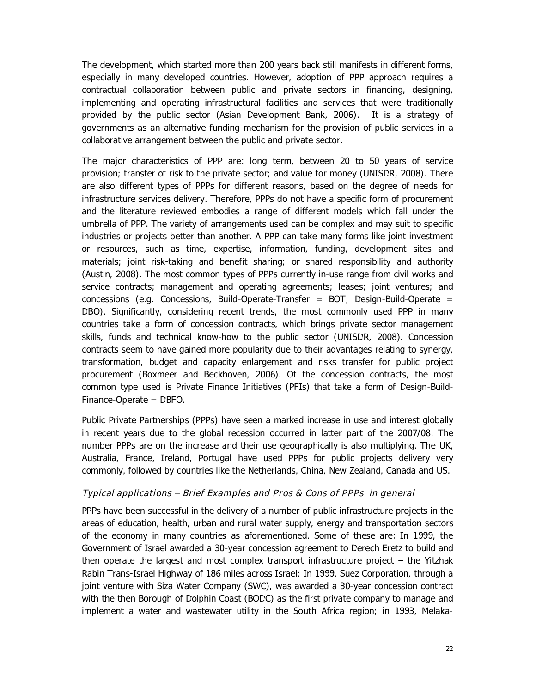The development, which started more than 200 years back still manifests in different forms, especially in many developed countries. However, adoption of PPP approach requires a contractual collaboration between public and private sectors in financing, designing, implementing and operating infrastructural facilities and services that were traditionally provided by the public sector (Asian Development Bank, 2006). It is a strategy of governments as an alternative funding mechanism for the provision of public services in a collaborative arrangement between the public and private sector.

The major characteristics of PPP are: long term, between 20 to 50 years of service provision; transfer of risk to the private sector; and value for money (UNISDR, 2008). There are also different types of PPPs for different reasons, based on the degree of needs for infrastructure services delivery. Therefore, PPPs do not have a specific form of procurement and the literature reviewed embodies a range of different models which fall under the umbrella of PPP. The variety of arrangements used can be complex and may suit to specific industries or projects better than another. A PPP can take many forms like joint investment or resources, such as time, expertise, information, funding, development sites and materials; joint risk-taking and benefit sharing; or shared responsibility and authority (Austin, 2008). The most common types of PPPs currently in-use range from civil works and service contracts; management and operating agreements; leases; joint ventures; and concessions (e.[g. Concessions, Build-Operate-Transfer = BOT, Design-Build-Operate =](http://ppp.worldbank.org/public-private-partnership/node/20)  [D](http://ppp.worldbank.org/public-private-partnership/node/20)BO). Significantly, considering recent trends, the most commonly used PPP in many countries take a form of concession contracts, which brings private sector management skills, funds and technical know-how to the public sector (UNISDR, 2008). Concession contracts seem to have gained more popularity due to their advantages relating to synergy, transformation, budget and capacity enlargement and risks transfer for public project procurement (Boxmeer and Beckhoven, 2006). Of the concession contracts, the most common type used is Private Finance Initiatives (PFIs) that take a form of D[esign-Build-](http://ppp.worldbank.org/public-private-partnership/node/20)[Finance-Operate = DBFO](http://ppp.worldbank.org/public-private-partnership/node/20).

Public Private Partnerships (PPPs) have seen a marked increase in use and interest globally in recent years due to the global recession occurred in latter part of the 2007/08. The number PPPs are on the increase and their use geographically is also multiplying. The UK, Australia, France, Ireland, Portugal have used PPPs for public projects delivery very commonly, followed by countries like the Netherlands, China, New Zealand, Canada and US.

#### **Typical applications – Brief Examples and Pros & Cons of PPPs in general**

PPPs have been successful in the delivery of a number of public infrastructure projects in the areas of education, health, urban and rural water supply, energy and transportation sectors of the economy in many countries as aforementioned. Some of these are: In 1999, the Government of Israel awarded a 30-year concession agreement to Derech Eretz to build and then operate the largest and most complex transport infrastructure project – the Yitzhak Rabin Trans-Israel Highway of 186 miles across Israel; In 1999, Suez Corporation, through a joint venture with Siza Water Company (SWC), was awarded a 30-year concession contract with the then Borough of Dolphin Coast (BODC) as the first private company to manage and implement a water and wastewater utility in the South Africa region; in 1993, Melaka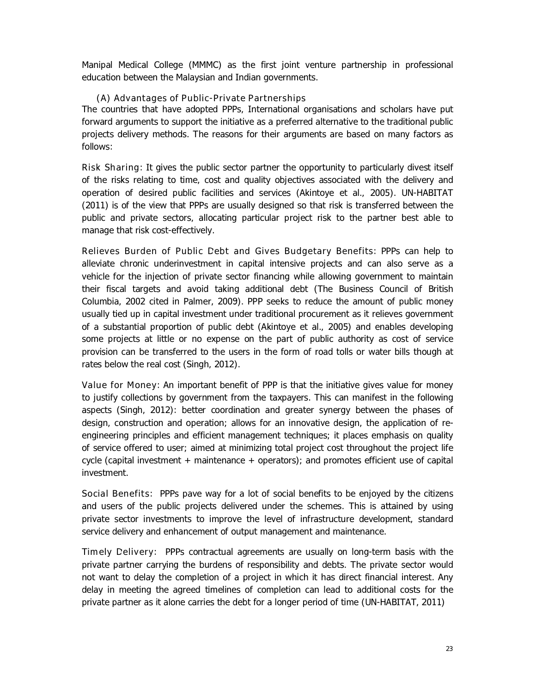Manipal Medical College (MMMC) as the first joint venture partnership in professional education between the Malaysian and Indian governments.

#### **(A) Advantages of Public-Private Partnerships**

The countries that have adopted PPPs, International organisations and scholars have put forward arguments to support the initiative as a preferred alternative to the traditional public projects delivery methods. The reasons for their arguments are based on many factors as follows:

**Risk Sharing:** It gives the public sector partner the opportunity to particularly divest itself of the risks relating to time, cost and quality objectives associated with the delivery and operation of desired public facilities and services (Akintoye et al., 2005). UN-HABITAT (2011) is of the view that PPPs are usually designed so that risk is transferred between the public and private sectors, allocating particular project risk to the partner best able to manage that risk cost-effectively.

**Relieves Burden of Public Debt and Gives Budgetary Benefits:** PPPs can help to alleviate chronic underinvestment in capital intensive projects and can also serve as a vehicle for the injection of private sector financing while allowing government to maintain their fiscal targets and avoid taking additional debt (The Business Council of British Columbia, 2002 cited in Palmer, 2009). PPP seeks to reduce the amount of public money usually tied up in capital investment under traditional procurement as it relieves government of a substantial proportion of public debt (Akintoye et al., 2005) and enables developing some projects at little or no expense on the part of public authority as cost of service provision can be transferred to the users in the form of road tolls or water bills though at rates below the real cost (Singh, 2012).

**Value for Money:** An important benefit of PPP is that the initiative gives value for money to justify collections by government from the taxpayers. This can manifest in the following aspects (Singh, 2012): better coordination and greater synergy between the phases of design, construction and operation; allows for an innovative design, the application of reengineering principles and efficient management techniques; it places emphasis on quality of service offered to user; aimed at minimizing total project cost throughout the project life cycle (capital investment + maintenance + operators); and promotes efficient use of capital investment.

**Social Benefits:** PPPs pave way for a lot of social benefits to be enjoyed by the citizens and users of the public projects delivered under the schemes. This is attained by using private sector investments to improve the level of infrastructure development, standard service delivery and enhancement of output management and maintenance.

**Timely Delivery:** PPPs contractual agreements are usually on long-term basis with the private partner carrying the burdens of responsibility and debts. The private sector would not want to delay the completion of a project in which it has direct financial interest. Any delay in meeting the agreed timelines of completion can lead to additional costs for the private partner as it alone carries the debt for a longer period of time (UN-HABITAT, 2011)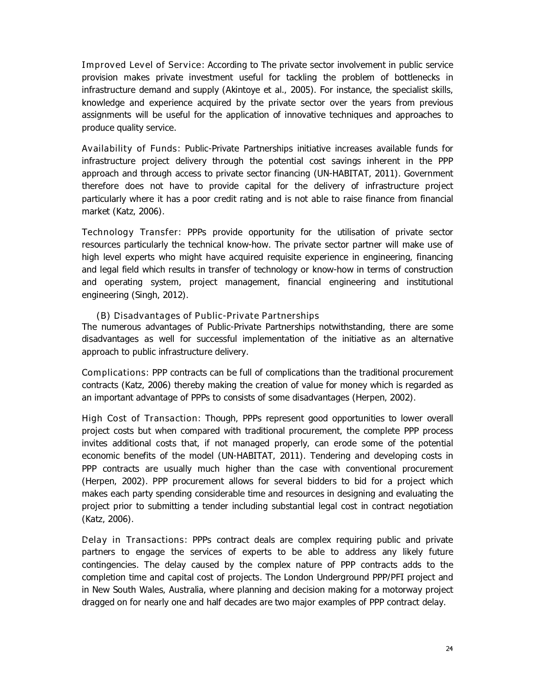**Improved Level of Service:** According to The private sector involvement in public service provision makes private investment useful for tackling the problem of bottlenecks in infrastructure demand and supply (Akintoye et al., 2005). For instance, the specialist skills, knowledge and experience acquired by the private sector over the years from previous assignments will be useful for the application of innovative techniques and approaches to produce quality service.

**Availability of Funds:** Public-Private Partnerships initiative increases available funds for infrastructure project delivery through the potential cost savings inherent in the PPP approach and through access to private sector financing (UN-HABITAT, 2011). Government therefore does not have to provide capital for the delivery of infrastructure project particularly where it has a poor credit rating and is not able to raise finance from financial market (Katz, 2006).

**Technology Transfer:** PPPs provide opportunity for the utilisation of private sector resources particularly the technical know-how. The private sector partner will make use of high level experts who might have acquired requisite experience in engineering, financing and legal field which results in transfer of technology or know-how in terms of construction and operating system, project management, financial engineering and institutional engineering (Singh, 2012).

#### **(B) Disadvantages of Public-Private Partnerships**

The numerous advantages of Public-Private Partnerships notwithstanding, there are some disadvantages as well for successful implementation of the initiative as an alternative approach to public infrastructure delivery.

**Complications:** PPP contracts can be full of complications than the traditional procurement contracts (Katz, 2006) thereby making the creation of value for money which is regarded as an important advantage of PPPs to consists of some disadvantages (Herpen, 2002).

**High Cost of Transaction:** Though, PPPs represent good opportunities to lower overall project costs but when compared with traditional procurement, the complete PPP process invites additional costs that, if not managed properly, can erode some of the potential economic benefits of the model (UN-HABITAT, 2011). Tendering and developing costs in PPP contracts are usually much higher than the case with conventional procurement (Herpen, 2002). PPP procurement allows for several bidders to bid for a project which makes each party spending considerable time and resources in designing and evaluating the project prior to submitting a tender including substantial legal cost in contract negotiation (Katz, 2006).

**Delay in Transactions:** PPPs contract deals are complex requiring public and private partners to engage the services of experts to be able to address any likely future contingencies. The delay caused by the complex nature of PPP contracts adds to the completion time and capital cost of projects. The London Underground PPP/PFI project and in New South Wales, Australia, where planning and decision making for a motorway project dragged on for nearly one and half decades are two major examples of PPP contract delay.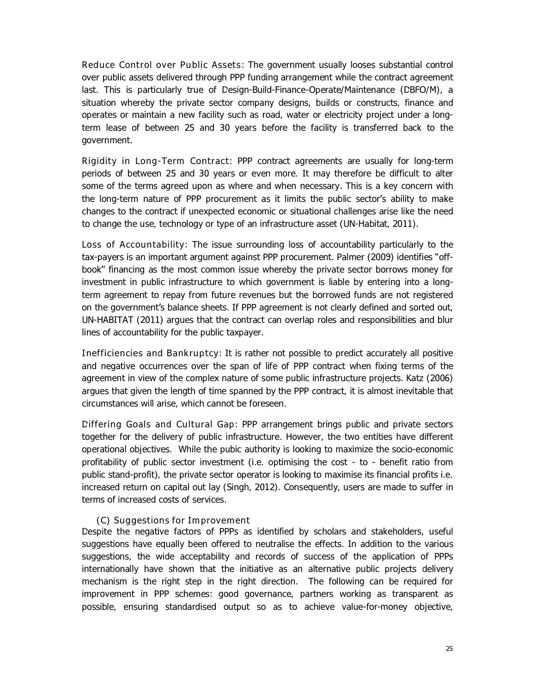**Reduce Control over Public Assets:** The government usually looses substantial control over public assets delivered through PPP funding arrangement while the contract agreement last. This is particularly true of Design-Build-Finance-Operate/Maintenance (DBFO/M), a situation whereby the private sector company designs, builds or constructs, finance and operates or maintain a new facility such as road, water or electricity project under a longterm lease of between 25 and 30 years before the facility is transferred back to the government.

**Rigidity in Long-Term Contract:** PPP contract agreements are usually for long-term periods of between 25 and 30 years or even more. It may therefore be difficult to alter some of the terms agreed upon as where and when necessary. This is a key concern with the long-term nature of PPP procurement as it limits the public sector's ability to make changes to the contract if unexpected economic or situational challenges arise like the need to change the use, technology or type of an infrastructure asset (UN-Habitat, 2011).

**Loss of Accountability:** The issue surrounding loss of accountability particularly to the tax-payers is an important argument against PPP procurement. Palmer (2009) identifies "offbook" financing as the most common issue whereby the private sector borrows money for investment in public infrastructure to which government is liable by entering into a longterm agreement to repay from future revenues but the borrowed funds are not registered on the government's balance sheets. If PPP agreement is not clearly defined and sorted out, UN-HABITAT (2011) argues that the contract can overlap roles and responsibilities and blur lines of accountability for the public taxpayer.

**Inefficiencies and Bankruptcy:** It is rather not possible to predict accurately all positive and negative occurrences over the span of life of PPP contract when fixing terms of the agreement in view of the complex nature of some public infrastructure projects. Katz (2006) argues that given the length of time spanned by the PPP contract, it is almost inevitable that circumstances will arise, which cannot be foreseen.

**Differing Goals and Cultural Gap:** PPP arrangement brings public and private sectors together for the delivery of public infrastructure. However, the two entities have different operational objectives. While the pubic authority is looking to maximize the socio-economic profitability of public sector investment (i.e. optimising the cost - to - benefit ratio from public stand-profit), the private sector operator is looking to maximise its financial profits i.e. increased return on capital out lay (Singh, 2012). Consequently, users are made to suffer in terms of increased costs of services.

#### **(C) Suggestions for Improvement**

Despite the negative factors of PPPs as identified by scholars and stakeholders, useful suggestions have equally been offered to neutralise the effects. In addition to the various suggestions, the wide acceptability and records of success of the application of PPPs internationally have shown that the initiative as an alternative public projects delivery mechanism is the right step in the right direction. The following can be required for improvement in PPP schemes: good governance, partners working as transparent as possible, ensuring standardised output so as to achieve value-for-money objective,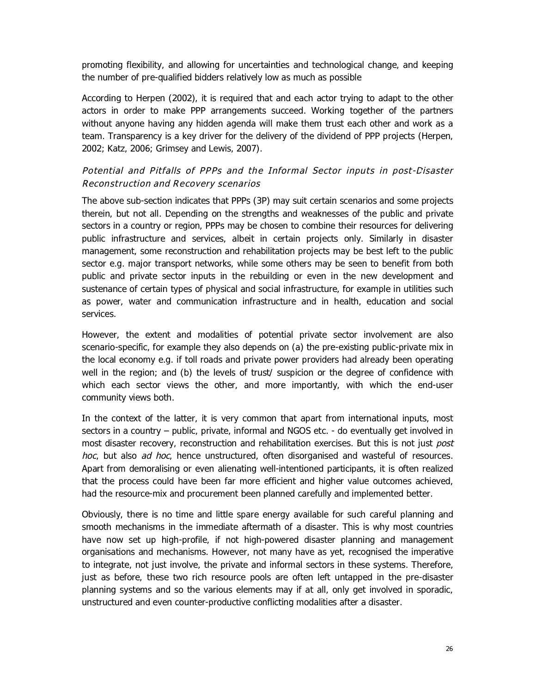promoting flexibility, and allowing for uncertainties and technological change, and keeping the number of pre-qualified bidders relatively low as much as possible

According to Herpen (2002), it is required that and each actor trying to adapt to the other actors in order to make PPP arrangements succeed. Working together of the partners without anyone having any hidden agenda will make them trust each other and work as a team. Transparency is a key driver for the delivery of the dividend of PPP projects (Herpen, 2002; Katz, 2006; Grimsey and Lewis, 2007).

## **Potential and Pitfalls of PPPs and the Informal Sector inputs in post-Disaster Reconstruction and Recovery scenarios**

The above sub-section indicates that PPPs (3P) may suit certain scenarios and some projects therein, but not all. Depending on the strengths and weaknesses of the public and private sectors in a country or region, PPPs may be chosen to combine their resources for delivering public infrastructure and services, albeit in certain projects only. Similarly in disaster management, some reconstruction and rehabilitation projects may be best left to the public sector e.g. major transport networks, while some others may be seen to benefit from both public and private sector inputs in the rebuilding or even in the new development and sustenance of certain types of physical and social infrastructure, for example in utilities such as power, water and communication infrastructure and in health, education and social services.

However, the extent and modalities of potential private sector involvement are also scenario-specific, for example they also depends on (a) the pre-existing public-private mix in the local economy e.g. if toll roads and private power providers had already been operating well in the region; and (b) the levels of trust/ suspicion or the degree of confidence with which each sector views the other, and more importantly, with which the end-user community views both.

In the context of the latter, it is very common that apart from international inputs, most sectors in a country – public, private, informal and NGOS etc. - do eventually get involved in most disaster recovery, reconstruction and rehabilitation exercises. But this is not just post hoc, but also ad hoc, hence unstructured, often disorganised and wasteful of resources. Apart from demoralising or even alienating well-intentioned participants, it is often realized that the process could have been far more efficient and higher value outcomes achieved, had the resource-mix and procurement been planned carefully and implemented better.

Obviously, there is no time and little spare energy available for such careful planning and smooth mechanisms in the immediate aftermath of a disaster. This is why most countries have now set up high-profile, if not high-powered disaster planning and management organisations and mechanisms. However, not many have as yet, recognised the imperative to integrate, not just involve, the private and informal sectors in these systems. Therefore, just as before, these two rich resource pools are often left untapped in the pre-disaster planning systems and so the various elements may if at all, only get involved in sporadic, unstructured and even counter-productive conflicting modalities after a disaster.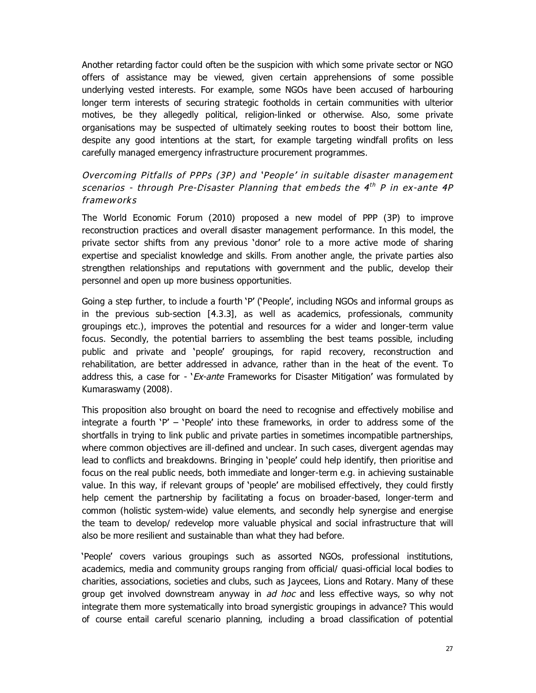Another retarding factor could often be the suspicion with which some private sector or NGO offers of assistance may be viewed, given certain apprehensions of some possible underlying vested interests. For example, some NGOs have been accused of harbouring longer term interests of securing strategic footholds in certain communities with ulterior motives, be they allegedly political, religion-linked or otherwise. Also, some private organisations may be suspected of ultimately seeking routes to boost their bottom line, despite any good intentions at the start, for example targeting windfall profits on less carefully managed emergency infrastructure procurement programmes.

### **Overcoming Pitfalls of PPPs (3P) and 'People' in suitable disaster management scenarios - through Pre-Disaster Planning that embeds the 4 th P in ex-ante 4P frameworks**

The World Economic Forum (2010) proposed a new model of PPP (3P) to improve reconstruction practices and overall disaster management performance. In this model, the private sector shifts from any previous 'donor' role to a more active mode of sharing expertise and specialist knowledge and skills. From another angle, the private parties also strengthen relationships and reputations with government and the public, develop their personnel and open up more business opportunities.

Going a step further, to include a fourth 'P' ('People', including NGOs and informal groups as in the previous sub-section [4.3.3], as well as academics, professionals, community groupings etc.), improves the potential and resources for a wider and longer-term value focus. Secondly, the potential barriers to assembling the best teams possible, including public and private and 'people' groupings, for rapid recovery, reconstruction and rehabilitation, are better addressed in advance, rather than in the heat of the event. To address this, a case for  $\cdot$  '*Ex-ante* Frameworks for Disaster Mitigation' was formulated by Kumaraswamy (2008).

This proposition also brought on board the need to recognise and effectively mobilise and integrate a fourth 'P' – 'People' into these frameworks, in order to address some of the shortfalls in trying to link public and private parties in sometimes incompatible partnerships, where common objectives are ill-defined and unclear. In such cases, divergent agendas may lead to conflicts and breakdowns. Bringing in 'people' could help identify, then prioritise and focus on the real public needs, both immediate and longer-term e.g. in achieving sustainable value. In this way, if relevant groups of 'people' are mobilised effectively, they could firstly help cement the partnership by facilitating a focus on broader-based, longer-term and common (holistic system-wide) value elements, and secondly help synergise and energise the team to develop/ redevelop more valuable physical and social infrastructure that will also be more resilient and sustainable than what they had before.

'People' covers various groupings such as assorted NGOs, professional institutions, academics, media and community groups ranging from official/ quasi-official local bodies to charities, associations, societies and clubs, such as Jaycees, Lions and Rotary. Many of these group get involved downstream anyway in *ad hoc* and less effective ways, so why not integrate them more systematically into broad synergistic groupings in advance? This would of course entail careful scenario planning, including a broad classification of potential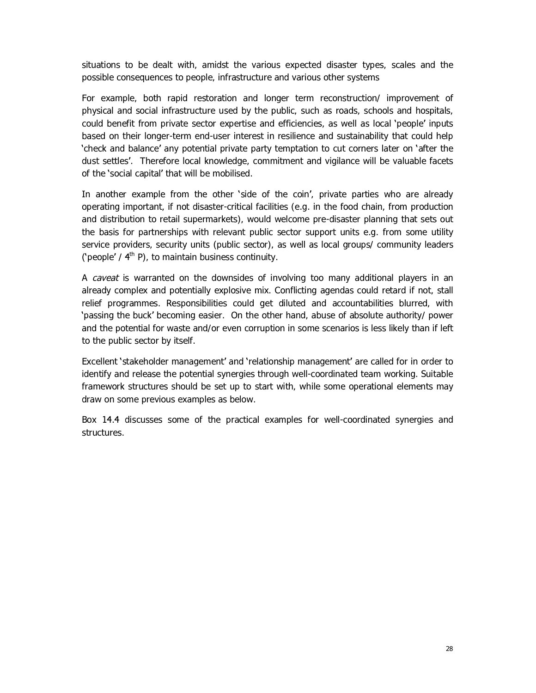situations to be dealt with, amidst the various expected disaster types, scales and the possible consequences to people, infrastructure and various other systems

For example, both rapid restoration and longer term reconstruction/ improvement of physical and social infrastructure used by the public, such as roads, schools and hospitals, could benefit from private sector expertise and efficiencies, as well as local 'people' inputs based on their longer-term end-user interest in resilience and sustainability that could help 'check and balance' any potential private party temptation to cut corners later on 'after the dust settles'. Therefore local knowledge, commitment and vigilance will be valuable facets of the 'social capital' that will be mobilised.

In another example from the other 'side of the coin', private parties who are already operating important, if not disaster-critical facilities (e.g. in the food chain, from production and distribution to retail supermarkets), would welcome pre-disaster planning that sets out the basis for partnerships with relevant public sector support units e.g. from some utility service providers, security units (public sector), as well as local groups/ community leaders ('people'  $/$  4<sup>th</sup> P), to maintain business continuity.

A *caveat* is warranted on the downsides of involving too many additional players in an already complex and potentially explosive mix. Conflicting agendas could retard if not, stall relief programmes. Responsibilities could get diluted and accountabilities blurred, with 'passing the buck' becoming easier. On the other hand, abuse of absolute authority/ power and the potential for waste and/or even corruption in some scenarios is less likely than if left to the public sector by itself.

Excellent 'stakeholder management' and 'relationship management' are called for in order to identify and release the potential synergies through well-coordinated team working. Suitable framework structures should be set up to start with, while some operational elements may draw on some previous examples as below.

Box 14.4 discusses some of the practical examples for well-coordinated synergies and structures.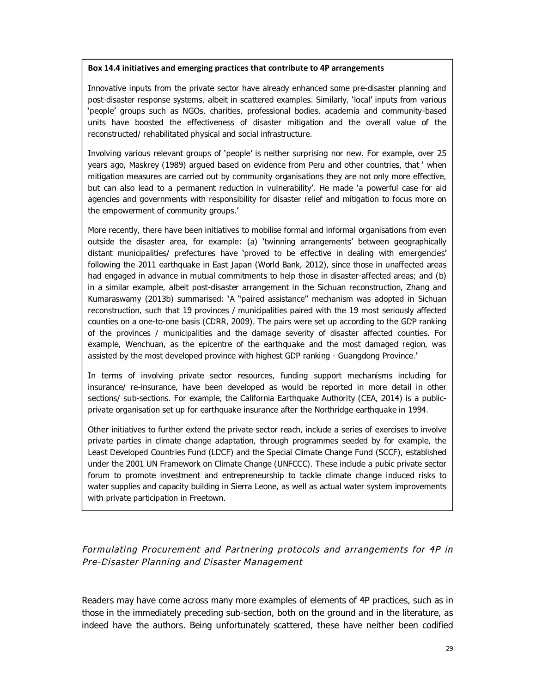#### **Box 14.4 initiatives and emerging practices that contribute to 4P arrangements**

Innovative inputs from the private sector have already enhanced some pre-disaster planning and post-disaster response systems, albeit in scattered examples. Similarly, 'local' inputs from various 'people' groups such as NGOs, charities, professional bodies, academia and community-based units have boosted the effectiveness of disaster mitigation and the overall value of the reconstructed/ rehabilitated physical and social infrastructure.

Involving various relevant groups of 'people' is neither surprising nor new. For example, over 25 years ago, Maskrey (1989) argued based on evidence from Peru and other countries, that ' when mitigation measures are carried out by community organisations they are not only more effective, but can also lead to a permanent reduction in vulnerability'. He made 'a powerful case for aid agencies and governments with responsibility for disaster relief and mitigation to focus more on the empowerment of community groups.'

More recently, there have been initiatives to mobilise formal and informal organisations from even outside the disaster area, for example: (a) 'twinning arrangements' between geographically distant municipalities/ prefectures have 'proved to be effective in dealing with emergencies' following the 2011 earthquake in East Japan (World Bank, 2012), since those in unaffected areas had engaged in advance in mutual commitments to help those in disaster-affected areas; and (b) in a similar example, albeit post-disaster arrangement in the Sichuan reconstruction, Zhang and Kumaraswamy (2013b) summarised: 'A "paired assistance" mechanism was adopted in Sichuan reconstruction, such that 19 provinces / municipalities paired with the 19 most seriously affected counties on a one-to-one basis (CDRR, 2009). The pairs were set up according to the GDP ranking of the provinces / municipalities and the damage severity of disaster affected counties. For example, Wenchuan, as the epicentre of the earthquake and the most damaged region, was assisted by the most developed province with highest GDP ranking - Guangdong Province.'

In terms of involving private sector resources, funding support mechanisms including for insurance/ re-insurance, have been developed as would be reported in more detail in other sections/ sub-sections. For example, the California Earthquake Authority (CEA, 2014) is a publicprivate organisation set up for earthquake insurance after the Northridge earthquake in 1994.

Other initiatives to further extend the private sector reach, include a series of exercises to involve private parties in climate change adaptation, through programmes seeded by for example, the Least Developed Countries Fund (LDCF) and the Special Climate Change Fund (SCCF), established under the 2001 UN Framework on Climate Change (UNFCCC). These include a pubic private sector forum to promote investment and entrepreneurship to tackle climate change induced risks to water supplies and capacity building in Sierra Leone, as well as actual water system improvements with private participation in Freetown.

### **Formulating Procurement and Partnering protocols and arrangements for 4P in Pre-Disaster Planning and Disaster Management**

Readers may have come across many more examples of elements of 4P practices, such as in those in the immediately preceding sub-section, both on the ground and in the literature, as indeed have the authors. Being unfortunately scattered, these have neither been codified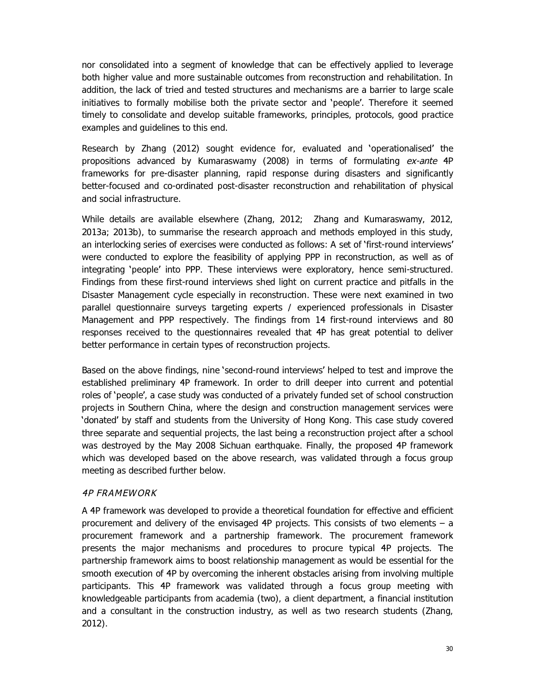nor consolidated into a segment of knowledge that can be effectively applied to leverage both higher value and more sustainable outcomes from reconstruction and rehabilitation. In addition, the lack of tried and tested structures and mechanisms are a barrier to large scale initiatives to formally mobilise both the private sector and 'people'. Therefore it seemed timely to consolidate and develop suitable frameworks, principles, protocols, good practice examples and guidelines to this end.

Research by Zhang (2012) sought evidence for, evaluated and 'operationalised' the propositions advanced by Kumaraswamy (2008) in terms of formulating ex-ante 4P frameworks for pre-disaster planning, rapid response during disasters and significantly better-focused and co-ordinated post-disaster reconstruction and rehabilitation of physical and social infrastructure.

While details are available elsewhere (Zhang, 2012; Zhang and Kumaraswamy, 2012, 2013a; 2013b), to summarise the research approach and methods employed in this study, an interlocking series of exercises were conducted as follows: A set of 'first-round interviews' were conducted to explore the feasibility of applying PPP in reconstruction, as well as of integrating 'people' into PPP. These interviews were exploratory, hence semi-structured. Findings from these first-round interviews shed light on current practice and pitfalls in the Disaster Management cycle especially in reconstruction. These were next examined in two parallel questionnaire surveys targeting experts / experienced professionals in Disaster Management and PPP respectively. The findings from 14 first-round interviews and 80 responses received to the questionnaires revealed that 4P has great potential to deliver better performance in certain types of reconstruction projects.

Based on the above findings, nine 'second-round interviews' helped to test and improve the established preliminary 4P framework. In order to drill deeper into current and potential roles of 'people', a case study was conducted of a privately funded set of school construction projects in Southern China, where the design and construction management services were 'donated' by staff and students from the University of Hong Kong. This case study covered three separate and sequential projects, the last being a reconstruction project after a school was destroyed by the May 2008 Sichuan earthquake. Finally, the proposed 4P framework which was developed based on the above research, was validated through a focus group meeting as described further below.

#### **4P FRAMEWORK**

A 4P framework was developed to provide a theoretical foundation for effective and efficient procurement and delivery of the envisaged 4P projects. This consists of two elements – a procurement framework and a partnership framework. The procurement framework presents the major mechanisms and procedures to procure typical 4P projects. The partnership framework aims to boost relationship management as would be essential for the smooth execution of 4P by overcoming the inherent obstacles arising from involving multiple participants. This 4P framework was validated through a focus group meeting with knowledgeable participants from academia (two), a client department, a financial institution and a consultant in the construction industry, as well as two research students (Zhang, 2012).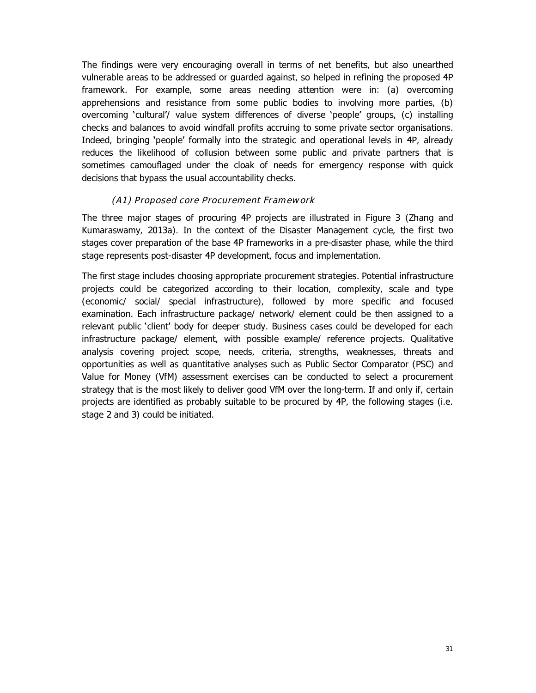The findings were very encouraging overall in terms of net benefits, but also unearthed vulnerable areas to be addressed or guarded against, so helped in refining the proposed 4P framework. For example, some areas needing attention were in: (a) overcoming apprehensions and resistance from some public bodies to involving more parties, (b) overcoming 'cultural'/ value system differences of diverse 'people' groups, (c) installing checks and balances to avoid windfall profits accruing to some private sector organisations. Indeed, bringing 'people' formally into the strategic and operational levels in 4P, already reduces the likelihood of collusion between some public and private partners that is sometimes camouflaged under the cloak of needs for emergency response with quick decisions that bypass the usual accountability checks.

### **(A1) Proposed core Procurement Framework**

The three major stages of procuring 4P projects are illustrated in Figure 3 (Zhang and Kumaraswamy, 2013a). In the context of the Disaster Management cycle, the first two stages cover preparation of the base 4P frameworks in a pre-disaster phase, while the third stage represents post-disaster 4P development, focus and implementation.

The first stage includes choosing appropriate procurement strategies. Potential infrastructure projects could be categorized according to their location, complexity, scale and type (economic/ social/ special infrastructure), followed by more specific and focused examination. Each infrastructure package/ network/ element could be then assigned to a relevant public 'client' body for deeper study. Business cases could be developed for each infrastructure package/ element, with possible example/ reference projects. Qualitative analysis covering project scope, needs, criteria, strengths, weaknesses, threats and opportunities as well as quantitative analyses such as Public Sector Comparator (PSC) and Value for Money (VfM) assessment exercises can be conducted to select a procurement strategy that is the most likely to deliver good VfM over the long-term. If and only if, certain projects are identified as probably suitable to be procured by 4P, the following stages (i.e. stage 2 and 3) could be initiated.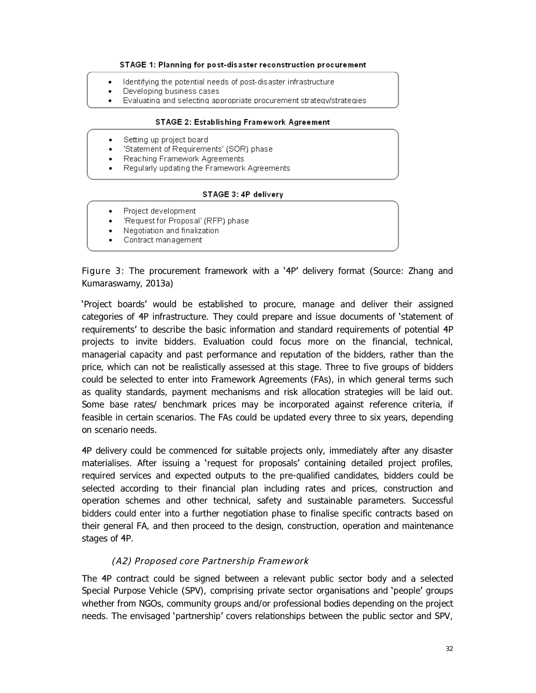#### STAGE 1: Planning for post-disaster reconstruction procurement

- Identifying the potential needs of post-disaster infrastructure
- Developing business cases
- Evaluating and selecting appropriate procurement strategy/strategies

#### **STAGE 2: Establishing Framework Agreement**

- Setting up project board
- 'Statement of Requirements' (SOR) phase
- Reaching Framework Agreements
- Regularly updating the Framework Agreements

#### STAGE 3: 4P delivery

- Project development
- 'Request for Proposal' (RFP) phase
- Negotiation and finalization
- Contract management

**Figure 3**: The procurement framework with a '4P' delivery format (Source: Zhang and Kumaraswamy, 2013a)

'Project boards' would be established to procure, manage and deliver their assigned categories of 4P infrastructure. They could prepare and issue documents of 'statement of requirements' to describe the basic information and standard requirements of potential 4P projects to invite bidders. Evaluation could focus more on the financial, technical, managerial capacity and past performance and reputation of the bidders, rather than the price, which can not be realistically assessed at this stage. Three to five groups of bidders could be selected to enter into Framework Agreements (FAs), in which general terms such as quality standards, payment mechanisms and risk allocation strategies will be laid out. Some base rates/ benchmark prices may be incorporated against reference criteria, if feasible in certain scenarios. The FAs could be updated every three to six years, depending on scenario needs.

4P delivery could be commenced for suitable projects only, immediately after any disaster materialises. After issuing a 'request for proposals' containing detailed project profiles, required services and expected outputs to the pre-qualified candidates, bidders could be selected according to their financial plan including rates and prices, construction and operation schemes and other technical, safety and sustainable parameters. Successful bidders could enter into a further negotiation phase to finalise specific contracts based on their general FA, and then proceed to the design, construction, operation and maintenance stages of 4P.

#### **(A2) Proposed core Partnership Framework**

The 4P contract could be signed between a relevant public sector body and a selected Special Purpose Vehicle (SPV), comprising private sector organisations and 'people' groups whether from NGOs, community groups and/or professional bodies depending on the project needs. The envisaged 'partnership' covers relationships between the public sector and SPV,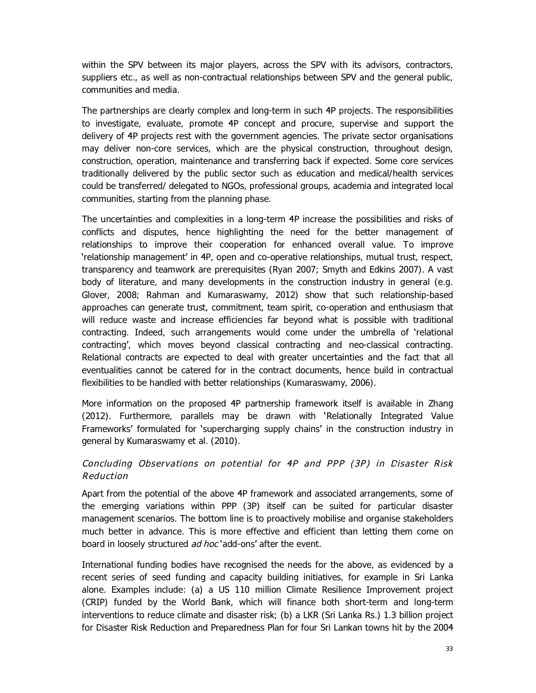within the SPV between its major players, across the SPV with its advisors, contractors, suppliers etc., as well as non-contractual relationships between SPV and the general public, communities and media.

The partnerships are clearly complex and long-term in such 4P projects. The responsibilities to investigate, evaluate, promote 4P concept and procure, supervise and support the delivery of 4P projects rest with the government agencies. The private sector organisations may deliver non-core services, which are the physical construction, throughout design, construction, operation, maintenance and transferring back if expected. Some core services traditionally delivered by the public sector such as education and medical/health services could be transferred/ delegated to NGOs, professional groups, academia and integrated local communities, starting from the planning phase.

The uncertainties and complexities in a long-term 4P increase the possibilities and risks of conflicts and disputes, hence highlighting the need for the better management of relationships to improve their cooperation for enhanced overall value. To improve 'relationship management' in 4P, open and co-operative relationships, mutual trust, respect, transparency and teamwork are prerequisites (Ryan 2007; Smyth and Edkins 2007). A vast body of literature, and many developments in the construction industry in general (e.g. Glover, 2008; Rahman and Kumaraswamy, 2012) show that such relationship-based approaches can generate trust, commitment, team spirit, co-operation and enthusiasm that will reduce waste and increase efficiencies far beyond what is possible with traditional contracting. Indeed, such arrangements would come under the umbrella of 'relational contracting', which moves beyond classical contracting and neo-classical contracting. Relational contracts are expected to deal with greater uncertainties and the fact that all eventualities cannot be catered for in the contract documents, hence build in contractual flexibilities to be handled with better relationships (Kumaraswamy, 2006).

More information on the proposed 4P partnership framework itself is available in Zhang (2012). Furthermore, parallels may be drawn with 'Relationally Integrated Value Frameworks' formulated for 'supercharging supply chains' in the construction industry in general by Kumaraswamy et al. (2010).

## **Concluding Observations on potential for 4P and PPP (3P) in Disaster Risk Reduction**

Apart from the potential of the above 4P framework and associated arrangements, some of the emerging variations within PPP (3P) itself can be suited for particular disaster management scenarios. The bottom line is to proactively mobilise and organise stakeholders much better in advance. This is more effective and efficient than letting them come on board in loosely structured ad hoc'add-ons' after the event.

International funding bodies have recognised the needs for the above, as evidenced by a recent series of seed funding and capacity building initiatives, for example in Sri Lanka alone. Examples include: (a) a US 110 million Climate Resilience Improvement project (CRIP) funded by the World Bank, which will finance both short-term and long-term interventions to reduce climate and disaster risk; (b) a LKR (Sri Lanka Rs.) 1.3 billion project for Disaster Risk Reduction and Preparedness Plan for four Sri Lankan towns hit by the 2004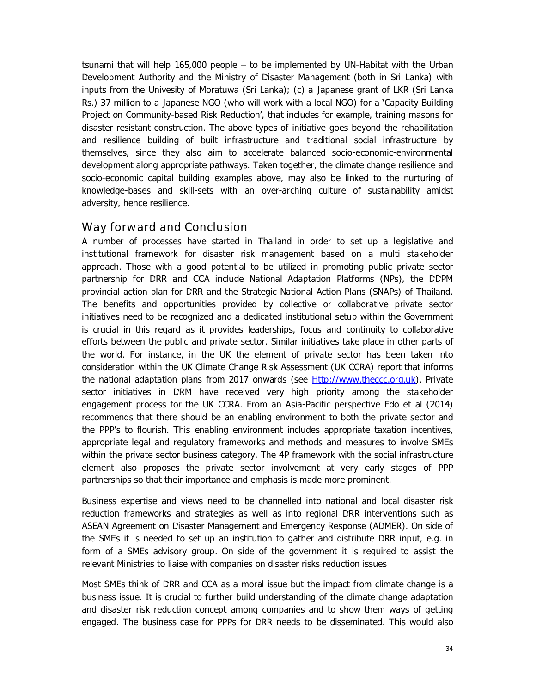tsunami that will help 165,000 people – to be implemented by UN-Habitat with the Urban Development Authority and the Ministry of Disaster Management (both in Sri Lanka) with inputs from the Univesity of Moratuwa (Sri Lanka); (c) a Japanese grant of LKR (Sri Lanka Rs.) 37 million to a Japanese NGO (who will work with a local NGO) for a 'Capacity Building Project on Community-based Risk Reduction', that includes for example, training masons for disaster resistant construction. The above types of initiative goes beyond the rehabilitation and resilience building of built infrastructure and traditional social infrastructure by themselves, since they also aim to accelerate balanced socio-economic-environmental development along appropriate pathways. Taken together, the climate change resilience and socio-economic capital building examples above, may also be linked to the nurturing of knowledge-bases and skill-sets with an over-arching culture of sustainability amidst adversity, hence resilience.

## **Way forward and Conclusion**

A number of processes have started in Thailand in order to set up a legislative and institutional framework for disaster risk management based on a multi stakeholder approach. Those with a good potential to be utilized in promoting public private sector partnership for DRR and CCA include National Adaptation Platforms (NPs), the DDPM provincial action plan for DRR and the Strategic National Action Plans (SNAPs) of Thailand. The benefits and opportunities provided by collective or collaborative private sector initiatives need to be recognized and a dedicated institutional setup within the Government is crucial in this regard as it provides leaderships, focus and continuity to collaborative efforts between the public and private sector. Similar initiatives take place in other parts of the world. For instance, in the UK the element of private sector has been taken into consideration within the UK Climate Change Risk Assessment (UK CCRA) report that informs the national adaptation plans from 2017 onwards (see [Http://www.theccc.org.uk\). Pr](http://www.theccc.org.uk/)ivate sector initiatives in DRM have received very high priority among the stakeholder engagement process for the UK CCRA. From an Asia-Pacific perspective Edo et al (2014) recommends that there should be an enabling environment to both the private sector and the PPP's to flourish. This enabling environment includes appropriate taxation incentives, appropriate legal and regulatory frameworks and methods and measures to involve SMEs within the private sector business category. The 4P framework with the social infrastructure element also proposes the private sector involvement at very early stages of PPP partnerships so that their importance and emphasis is made more prominent.

Business expertise and views need to be channelled into national and local disaster risk reduction frameworks and strategies as well as into regional DRR interventions such as ASEAN Agreement on Disaster Management and Emergency Response (ADMER). On side of the SMEs it is needed to set up an institution to gather and distribute DRR input, e.g. in form of a SMEs advisory group. On side of the government it is required to assist the relevant Ministries to liaise with companies on disaster risks reduction issues

Most SMEs think of DRR and CCA as a moral issue but the impact from climate change is a business issue. It is crucial to further build understanding of the climate change adaptation and disaster risk reduction concept among companies and to show them ways of getting engaged. The business case for PPPs for DRR needs to be disseminated. This would also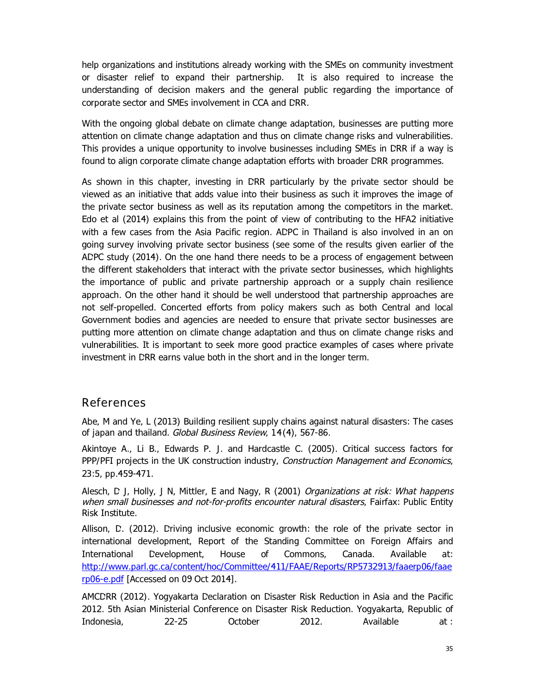help organizations and institutions already working with the SMEs on community investment or disaster relief to expand their partnership. It is also required to increase the understanding of decision makers and the general public regarding the importance of corporate sector and SMEs involvement in CCA and DRR.

With the ongoing global debate on climate change adaptation, businesses are putting more attention on climate change adaptation and thus on climate change risks and vulnerabilities. This provides a unique opportunity to involve businesses including SMEs in DRR if a way is found to align corporate climate change adaptation efforts with broader DRR programmes.

As shown in this chapter, investing in DRR particularly by the private sector should be viewed as an initiative that adds value into their business as such it improves the image of the private sector business as well as its reputation among the competitors in the market. Edo et al (2014) explains this from the point of view of contributing to the HFA2 initiative with a few cases from the Asia Pacific region. ADPC in Thailand is also involved in an on going survey involving private sector business (see some of the results given earlier of the ADPC study (2014). On the one hand there needs to be a process of engagement between the different stakeholders that interact with the private sector businesses, which highlights the importance of public and private partnership approach or a supply chain resilience approach. On the other hand it should be well understood that partnership approaches are not self-propelled. Concerted efforts from policy makers such as both Central and local Government bodies and agencies are needed to ensure that private sector businesses are putting more attention on climate change adaptation and thus on climate change risks and vulnerabilities. It is important to seek more good practice examples of cases where private investment in DRR earns value both in the short and in the longer term.

### **References**

Abe, M and Ye, L (2013) Building resilient supply chains against natural disasters: The cases of japan and thailand. Global Business Review, **14**(4), 567-86.

Akintoye A., Li B., Edwards P. J. and Hardcastle C. (2005). Critical success factors for PPP/PFI projects in the UK construction industry, Construction Management and Economics, 23:5, pp.459-471.

Alesch, D J, Holly, J N, Mittler, E and Nagy, R (2001) Organizations at risk: What happens when small businesses and not-for-profits encounter natural disasters, Fairfax: Public Entity Risk Institute.

Allison, D. (2012). Driving inclusive economic growth: the role of the private sector in international development, Report of the Standing Committee on Foreign Affairs and International Development, House of Commons, Canada. Available at: http://www.parl.gc.ca/content/hoc/Committee/411/FAAE/Reports/RP5732913/faaerp06/faae rp06-e.pdf [Accessed on 09 Oct 2014].

[AMCDRR \(2012\). Yogyakarta Declaration on Disaster Risk Reduction in Asia and the Pacific](http://www.parl.gc.ca/content/hoc/Committee/411/FAAE/Reports/RP5732913/faaerp06/faaerp06-e.pdf)  [2012. 5t](http://www.parl.gc.ca/content/hoc/Committee/411/FAAE/Reports/RP5732913/faaerp06/faaerp06-e.pdf)h Asian Ministerial Conference on Disaster Risk Reduction. Yogyakarta, Republic of Indonesia, 22-25 October 2012. Available at :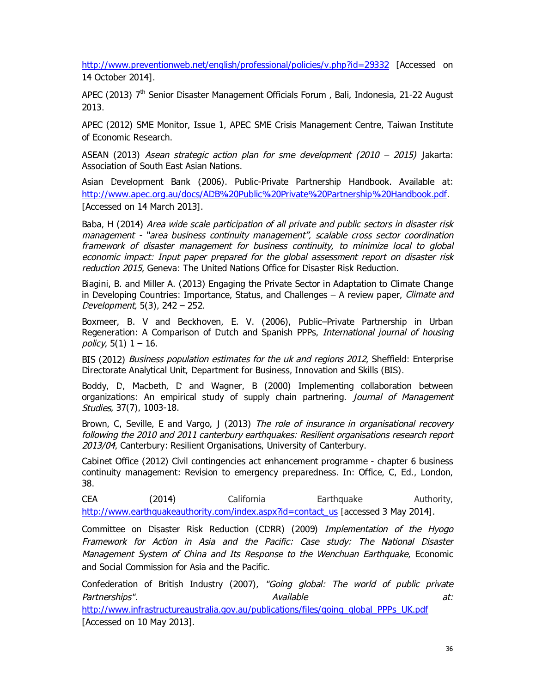http://www.preventionweb.net/english/professional/policies/v.php?id=29332 [Accessed on 14 October 2014].

APEC (2013)  $7<sup>th</sup>$  Senior Disaster Management Officials Forum, Bali, Indonesia, 21-22 August 2013.

APEC (2012) SME Monitor, Issue 1, APEC SME Crisis Management Centre, Taiwan Institute of Economic Research.

ASEAN (2013) Asean strategic action plan for sme development (2010 – 2015) Jakarta: Association of South East Asian Nations.

[Asian Development Bank \(2006\). Public-Private Partnership Handbook. Available at:](http://www.apec.org.au/docs/ADB%20Public%20Private%20Partnership%20Handbook.pdf)  http://www.apec.org.au/docs/ADB%20Public%20Private%20Partnership%20Handbook.pdf. [Accessed on 14 March 2013].

Baba, H (2014) Area wide scale participation of all private and public sectors in disaster risk management - "area business continuity management", scalable cross sector coordination framework of disaster management for business continuity, to minimize local to global economic impact: Input paper prepared for the global assessment report on disaster risk reduction 2015, Geneva: The United Nations Office for Disaster Risk Reduction.

Biagini, B. and Miller A. (2013) Engaging the Private Sector in Adaptation to Climate Change in Developing Countries: Importance, Status, and Challenges  $-$  A review paper, *Climate and* Development, 5(3), 242 – 252.

Boxmeer, B. V and Beckhoven, E. V. (2006), Public–Private Partnership in Urban Regeneration: A Comparison of Dutch and Spanish PPPs, International journal of housing policy,  $5(1)$  1 – 16.

BIS (2012) *Business population estimates for the uk and regions 2012*, Sheffield: Enterprise Directorate Analytical Unit, Department for Business, Innovation and Skills (BIS).

Boddy, D, Macbeth, D and Wagner, B (2000) Implementing collaboration between organizations: An empirical study of supply chain partnering. Journal of Management Studies, 37(7), 1003-18.

Brown, C, Seville, E and Vargo, J (2013) The role of insurance in organisational recovery following the 2010 and 2011 canterbury earthquakes: Resilient organisations research report 2013/04, Canterbury: Resilient Organisations, University of Canterbury.

Cabinet Office (2012) Civil contingencies act enhancement programme - chapter 6 business continuity management: Revision to emergency preparedness. In: Office, C, Ed., London, 38.

CEA (2014) California Earthquake Authority, http://www.earthquakeauthority.com/index.aspx?id=contact\_us [accessed 3 May 2014].

[Committee on Disaster Risk Reduction \(CDRR\) \(2009\)](http://www.earthquakeauthority.com/index.aspx?id=contact_us) Implementation of the Hyogo Framework for Action in Asia and the Pacific: Case study: The National Disaster Management System of China and Its Response to the Wenchuan Earthquake, Economic and Social Commission for Asia and the Pacific.

Confederation of British Industry (2007), "Going global: The world of public private Partnerships". Available at: http://www.infrastructureaustralia.gov.au/publications/files/going\_global\_PPPs\_UK.pdf

[Accessed on 10 May 2013].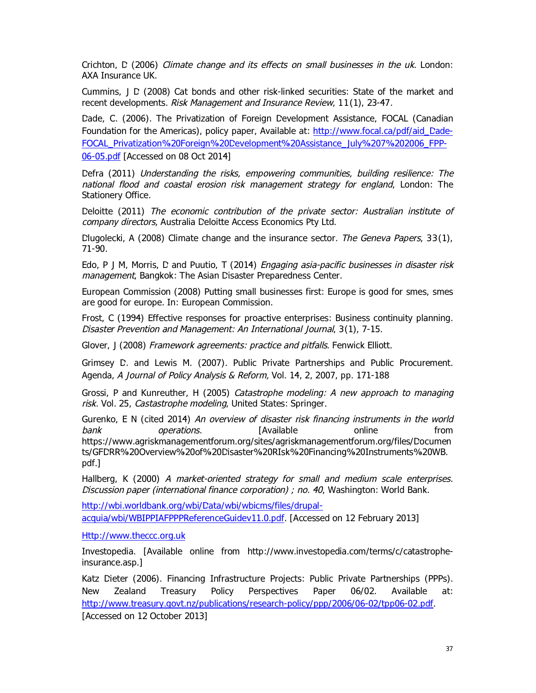Crichton, D (2006) Climate change and its effects on small businesses in the uk. London: AXA Insurance UK.

Cummins, J D (2008) Cat bonds and other risk-linked securities: State of the market and recent developments. Risk Management and Insurance Review, **11**(1), 23-47.

[Dade, C. \(2006\). The Privatization of Foreign Development Assistance, FOCAL \(Canadian](http://www.focal.ca/pdf/aid_Dade-FOCAL_Privatization%20Foreign%20Development%20Assistance_July%207%202006_FPP-06-05.pdf)  Foundation for the Americas), policy paper, Available at: http://www.focal.ca/pdf/aid\_Dade-[FOCAL\\_](http://www.focal.ca/pdf/aid_Dade-FOCAL_Privatization%20Foreign%20Development%20Assistance_July%207%202006_FPP-06-05.pdf)Privatization%20Foreign%20Development%20Assistance\_July%207%202006\_FPP-06-05.pdf [Accessed on 08 Oct 2014]

Defra (2011) Understanding the risks, empowering communities, building resilience: The national flood and coastal erosion risk management strategy for england, London: The Stationery Office.

Deloitte (2011) The economic contribution of the private sector: Australian institute of company directors, Australia Deloitte Access Economics Pty Ltd.

Dlugolecki, A (2008) Climate change and the insurance sector. The Geneva Papers, **33**(1), 71-90.

Edo, P J M, Morris, D and Puutio, T (2014) Engaging asia-pacific businesses in disaster risk management, Bangkok: The Asian Disaster Preparedness Center.

European Commission (2008) Putting small businesses first: Europe is good for smes, smes are good for europe. In: European Commission.

Frost, C (1994) Effective responses for proactive enterprises: Business continuity planning. Disaster Prevention and Management: An International Journal, **3**(1), 7-15.

Glover, J (2008) Framework agreements: practice and pitfalls. Fenwick Elliott.

Grimsey D. and Lewis M. (2007). Public Private Partnerships and Public Procurement. Agenda, A Journal of Policy Analysis & Reform, Vol. 14, 2, 2007, pp. 171-188

Grossi, P and Kunreuther, H (2005) Catastrophe modeling: A new approach to managing risk. Vol. 25, Castastrophe modeling, United States: Springer.

Gurenko, E N (cited 2014) An overview of disaster risk financing instruments in the world **bank** operations. **Example 1** Available **online** from https://www.agriskmanagementforum.org/sites/agriskmanagementforum.org/files/Documen ts/GFDRR%20Overview%20of%20Disaster%20RIsk%20Financing%20Instruments%20WB. pdf.]

Hallberg, K (2000) A market-oriented strategy for small and medium scale enterprises. Discussion paper (international finance corporation) ; no. 40, Washington: World Bank.

http://wbi.worldbank.org/wbi/Data/wbi/wbicms/files/drupal[acquia/wbi/WBIPPIAFPPPReferenceGuidev11.0.pdf. \[Accessed on 12 February 2013\]](http://wbi.worldbank.org/wbi/Data/wbi/wbicms/files/drupal-%20acquia/wbi/WBIPPIAFPPPReferenceGuidev11.0.pdf) 

[Http://www.theccc.org.uk](http://wbi.worldbank.org/wbi/Data/wbi/wbicms/files/drupal-%20acquia/wbi/WBIPPIAFPPPReferenceGuidev11.0.pdf)

[Investopedia. \[Available](http://www.theccc.org.uk/) online from http://www.investopedia.com/terms/c/catastropheinsurance.asp.]

Katz Dieter (2006). Financing Infrastructure Projects: Public Private Partnerships (PPPs). New Zealand Treasury Policy Perspectives Paper 06/02. Available at: http://www.treasury.govt.nz/publications/research-policy/ppp/2006/06-02/tpp06-02.pdf. [Accessed on 12 October 2013]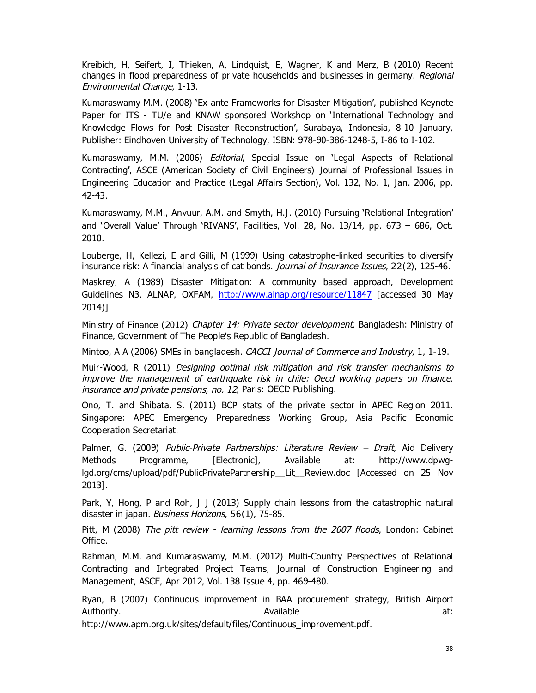Kreibich, H, Seifert, I, Thieken, A, Lindquist, E, Wagner, K and Merz, B (2010) Recent changes in flood preparedness of private households and businesses in germany. Regional Environmental Change, 1-13.

Kumaraswamy M.M. (2008) 'Ex-ante Frameworks for Disaster Mitigation', published Keynote Paper for ITS - TU/e and KNAW sponsored Workshop on 'International Technology and Knowledge Flows for Post Disaster Reconstruction', Surabaya, Indonesia, 8-10 January, Publisher: Eindhoven University of Technology, ISBN: 978-90-386-1248-5, I-86 to I-102.

Kumaraswamy, M.M. (2006) Editorial, Special Issue on 'Legal Aspects of Relational Contracting', ASCE (American Society of Civil Engineers) Journal of Professional Issues in Engineering Education and Practice (Legal Affairs Section), Vol. 132, No. 1, Jan. 2006, pp. 42-43.

Kumaraswamy, M.M., Anvuur, A.M. and Smyth, H.J. (2010) Pursuing 'Relational Integration' and 'Overall Value' Through 'RIVANS', Facilities, Vol. 28, No. 13/14, pp. 673 – 686, Oct. 2010.

Louberge, H, Kellezi, E and Gilli, M (1999) Using catastrophe-linked securities to diversify insurance risk: A financial analysis of cat bonds. Journal of Insurance Issues, **22**(2), 125-46.

Maskrey, A (1989) Disaster Mitigation: A community based approach, Development Guidelines N3, ALNAP, OXFAM[, http://www.alnap.org/resource/11847 \[a](http://www.alnap.org/resource/11847)ccessed 30 May 2014)]

Ministry of Finance (2012) Chapter 14: Private sector development, Bangladesh: Ministry of Finance, Government of The People's Republic of Bangladesh.

Mintoo, A A (2006) SMEs in bangladesh. CACCI Journal of Commerce and Industry, **1**, 1-19.

Muir-Wood, R (2011) Designing optimal risk mitigation and risk transfer mechanisms to improve the management of earthquake risk in chile: Oecd working papers on finance, insurance and private pensions, no. 12, Paris: OECD Publishing.

Ono, T. and Shibata. S. (2011) BCP stats of the private sector in APEC Region 2011. Singapore: APEC Emergency Preparedness Working Group, Asia Pacific Economic Cooperation Secretariat.

Palmer, G. (2009) Public-Private Partnerships: Literature Review - Draft, Aid Delivery Methods Programme, [Electronic], Available at: http://www.dpwglgd.org/cms/upload/pdf/PublicPrivatePartnership\_\_Lit\_\_Review.doc [Accessed on 25 Nov 2013].

Park, Y, Hong, P and Roh, J J (2013) Supply chain lessons from the catastrophic natural disaster in japan. Business Horizons, **56**(1), 75-85.

Pitt, M (2008) The pitt review - learning lessons from the 2007 floods, London: Cabinet Office.

Rahman, M.M. and Kumaraswamy, M.M. (2012) Multi-Country Perspectives of Relational Contracting and Integrated Project Teams, Journal of Construction Engineering and Management, ASCE, Apr 2012, Vol. 138 Issue 4, pp. 469-480.

Ryan, B (2007) Continuous improvement in BAA procurement strategy, British Airport Authority. Available at:

http://www.apm.org.uk/sites/default/files/Continuous\_improvement.pdf.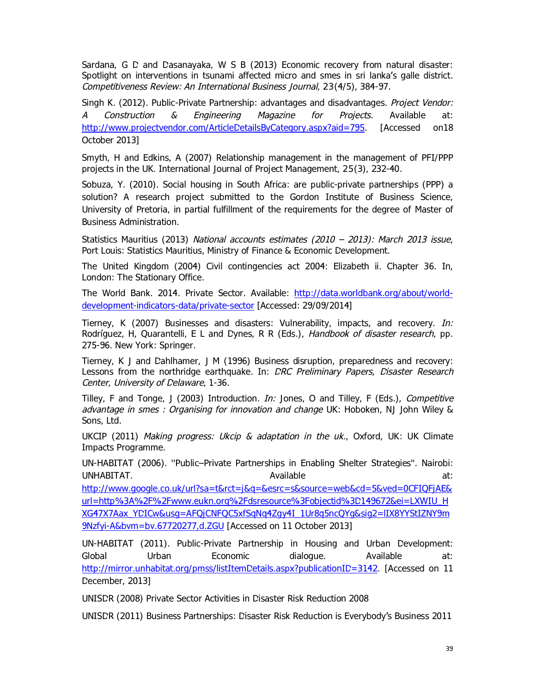Sardana, G D and Dasanayaka, W S B (2013) Economic recovery from natural disaster: Spotlight on interventions in tsunami affected micro and smes in sri lanka's galle district. Competitiveness Review: An International Business Journal, **23**(4/5), 384-97.

[Singh K. \(2012\). Public-Private Partnership: advantages and disadvantage](http://www.projectvendor.com/ArticleDetailsByCategory.aspx?aid=795)s. Project Vendor: A Construction & Engineering Magazine for Projects. Available at: http://www.projectvendor.com/ArticleDetailsByCategory.aspx?aid=795. [Accessed on18 October 2013]

Smyth, H and Edkins, A (2007) Relationship management in the management of PFI/PPP projects in the UK. International Journal of Project Management, **25**(3), 232-40.

Sobuza, Y. (2010). Social housing in South Africa: are public-private partnerships (PPP) a solution? A research project submitted to the Gordon Institute of Business Science, University of Pretoria, in partial fulfillment of the requirements for the degree of Master of Business Administration.

Statistics Mauritius (2013) National accounts estimates (2010 – 2013): March 2013 issue, Port Louis: Statistics Mauritius, Ministry of Finance & Economic Development.

The United Kingdom (2004) Civil contingencies act 2004: Elizabeth ii. Chapter 36. In, London: The Stationary Office.

The World Bank. 2014. Private Sector. Available: [http://data.worldbank.org/about/world](http://data.worldbank.org/about/world-development-indicators-data/private-sector)[development-indicators-data/private-sector](http://data.worldbank.org/about/world-development-indicators-data/private-sector) [Accessed: 29/09/2014]

Tierney, K (2007) Businesses and disasters: Vulnerability, impacts, and recovery. *In:* Rodríguez, H, Quarantelli, E L and Dynes, R R (Eds.), Handbook of disaster research, pp. 275-96. New York: Springer.

Tierney, K J and Dahlhamer, J M (1996) Business disruption, preparedness and recovery: Lessons from the northridge earthquake. In: DRC Preliminary Papers, Disaster Research Center, University of Delaware, 1-36.

Tilley, F and Tonge, J (2003) Introduction. In: Jones, O and Tilley, F (Eds.), Competitive advantage in smes : Organising for innovation and change UK: Hoboken, NJ John Wiley & Sons, Ltd.

UKCIP (2011) Making progress: Ukcip & adaptation in the  $uk$ ., Oxford, UK: UK Climate Impacts Programme.

UN-HABITAT (2006). ''Public–Private Partnerships in Enabling Shelter Strategies''. Nairobi: UNHABITAT. Available at:

http://www.google.co.uk/url?sa=t&rct=j&q=&esrc=s&source=web&cd=5&ved=0CFIQFjAE& [url=http%3A%2F%2Fwww.eukn.org%2Fdsresource%3Fobjectid%3D149672&ei=LXWIU\\_H](http://www.google.co.uk/url?sa=t&rct=j&q=&esrc=s&source=web&cd=5&ved=0CFIQFjAE&url=http%3A%2F%2Fwww.eukn.org%2Fdsresource%3Fobjectid%3D149672&ei=LXWIU_HXG47X7Aax_YDICw&usg=AFQjCNFQC5xfSqNq4Zgy4I_1Ur8q5ncQYg&sig2=lIX8YYStIZNY9m9Nzfyi-A&bvm=bv.67720277,d.ZGU) [XG47X7Aax\\_YDICw&usg=AFQjCNFQC5xfSqNq4Zgy4I\\_1Ur8q5ncQYg&sig2=lIX8YYStIZNY9m](http://www.google.co.uk/url?sa=t&rct=j&q=&esrc=s&source=web&cd=5&ved=0CFIQFjAE&url=http%3A%2F%2Fwww.eukn.org%2Fdsresource%3Fobjectid%3D149672&ei=LXWIU_HXG47X7Aax_YDICw&usg=AFQjCNFQC5xfSqNq4Zgy4I_1Ur8q5ncQYg&sig2=lIX8YYStIZNY9m9Nzfyi-A&bvm=bv.67720277,d.ZGU) [9Nzfyi-A&bvm=bv.67720277,d.ZGU \[Accessed on 11 October 2013\]](http://www.google.co.uk/url?sa=t&rct=j&q=&esrc=s&source=web&cd=5&ved=0CFIQFjAE&url=http%3A%2F%2Fwww.eukn.org%2Fdsresource%3Fobjectid%3D149672&ei=LXWIU_HXG47X7Aax_YDICw&usg=AFQjCNFQC5xfSqNq4Zgy4I_1Ur8q5ncQYg&sig2=lIX8YYStIZNY9m9Nzfyi-A&bvm=bv.67720277,d.ZGU) 

[UN-HABITAT \(2011\). Public-Priva](http://www.google.co.uk/url?sa=t&rct=j&q=&esrc=s&source=web&cd=5&ved=0CFIQFjAE&url=http%3A%2F%2Fwww.eukn.org%2Fdsresource%3Fobjectid%3D149672&ei=LXWIU_HXG47X7Aax_YDICw&usg=AFQjCNFQC5xfSqNq4Zgy4I_1Ur8q5ncQYg&sig2=lIX8YYStIZNY9m9Nzfyi-A&bvm=bv.67720277,d.ZGU)te Partnership in Housing and Urban Development: Global Urban Economic dialogue. Available at: http://mirror.unhabitat.org/pmss/listItemDetails.aspx?publicationID=3142. [Accessed on 11 December, 2013]

[UNISDR \(2008\) Private Sector Activities in Disaster Risk Reduction 2008](http://mirror.unhabitat.org/pmss/listItemDetails.aspx?publicationID=3142) 

UNISDR (2011) Business Partnerships: Disaster Risk Reduction is Everybody's Business 2011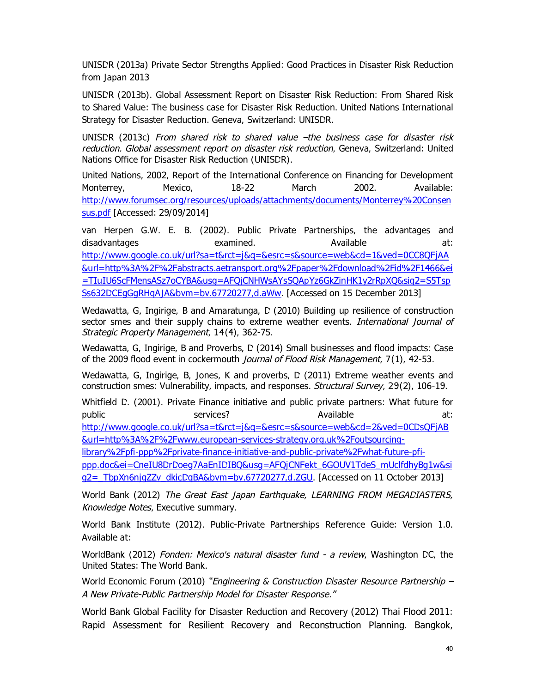UNISDR (2013a) Private Sector Strengths Applied: Good Practices in Disaster Risk Reduction from Japan 2013

UNISDR (2013b). Global Assessment Report on Disaster Risk Reduction: From Shared Risk to Shared Value: The business case for Disaster Risk Reduction. United Nations International Strategy for Disaster Reduction. Geneva, Switzerland: UNISDR.

UNISDR (2013c) From shared risk to shared value –the business case for disaster risk reduction. Global assessment report on disaster risk reduction, Geneva, Switzerland: United Nations Office for Disaster Risk Reduction (UNISDR).

United Nations, 2002, Report of the International Conference on Financing for Development [Monterrey, Mexico, 18-22 March 2002. Available:](http://www.forumsec.org/resources/uploads/attachments/documents/Monterrey%20Consensus.pdf)  [http](http://www.forumsec.org/resources/uploads/attachments/documents/Monterrey%20Consensus.pdf)://www.forumsec.org/resources/uploads/attachments/documents/Monterrey%20Consen sus.pdf [Accessed: 29/09/2014]

van Herpen G.W. E. B. (2002). Public Private Partnerships, the advantages and [disadvantages examined. Available at:](http://www.google.co.uk/url?sa=t&rct=j&q=&esrc=s&source=web&cd=1&ved=0CC8QFjAA&url=http%3A%2F%2Fabstracts.aetransport.org%2Fpaper%2Fdownload%2Fid%2F1466&ei=TIuIU6ScFMensASz7oCYBA&usg=AFQjCNHWsAYsSQApYz6GkZinHK1y2rRpXQ&sig2=S5TspSs632DCEgGgRHqAJA&bvm=bv.67720277,d.aWw)  [http://www.google.co.uk/url?sa=t&rct=j&q=&esrc=s&source=web&cd=1&ved=0CC8QFjAA](http://www.google.co.uk/url?sa=t&rct=j&q=&esrc=s&source=web&cd=1&ved=0CC8QFjAA&url=http%3A%2F%2Fabstracts.aetransport.org%2Fpaper%2Fdownload%2Fid%2F1466&ei=TIuIU6ScFMensASz7oCYBA&usg=AFQjCNHWsAYsSQApYz6GkZinHK1y2rRpXQ&sig2=S5TspSs632DCEgGgRHqAJA&bvm=bv.67720277,d.aWw) &url=http%3A%2F%2Fabstracts.aetransport.org%2Fpaper%2Fdownload%2Fid%2F1466&ei [=TIuIU6ScFMensASz7oCYBA&usg=AFQjCNHWsAYsSQApYz6GkZinHK1y2rRpXQ&sig2=S5Tsp](http://www.google.co.uk/url?sa=t&rct=j&q=&esrc=s&source=web&cd=1&ved=0CC8QFjAA&url=http%3A%2F%2Fabstracts.aetransport.org%2Fpaper%2Fdownload%2Fid%2F1466&ei=TIuIU6ScFMensASz7oCYBA&usg=AFQjCNHWsAYsSQApYz6GkZinHK1y2rRpXQ&sig2=S5TspSs632DCEgGgRHqAJA&bvm=bv.67720277,d.aWw) [Ss632DCEgGgRHqAJA&bvm=bv.67720277,d.aWw.](http://www.google.co.uk/url?sa=t&rct=j&q=&esrc=s&source=web&cd=1&ved=0CC8QFjAA&url=http%3A%2F%2Fabstracts.aetransport.org%2Fpaper%2Fdownload%2Fid%2F1466&ei=TIuIU6ScFMensASz7oCYBA&usg=AFQjCNHWsAYsSQApYz6GkZinHK1y2rRpXQ&sig2=S5TspSs632DCEgGgRHqAJA&bvm=bv.67720277,d.aWw) [Accessed on 15 December 2013]

Wedawatta, G, Ingirige, B and Amaratunga, D (2010) Building up resilience of construction sector smes and their supply chains to extreme weather events. International Journal of Strategic Property Management, **14**(4), 362-75.

Wedawatta, G, Ingirige, B and Proverbs, D (2014) Small businesses and flood impacts: Case of the 2009 flood event in cockermouth Journal of Flood Risk Management, **7**(1), 42-53.

Wedawatta, G, Ingirige, B, Jones, K and proverbs, D (2011) Extreme weather events and construction smes: Vulnerability, impacts, and responses. Structural Survey, **29**(2), 106-19.

Whitfield D. (2001). Private Finance initiative and public private partners: What future for public services? Available at:

http://www.google.co.uk/url?sa=t&rct=j&q=&esrc=s&source=web&cd=2&ved=0CDsQFjAB [&url=http%3A%2F%2Fwww.european-services-strategy.org.uk%2Foutsourcing-](http://www.google.co.uk/url?sa=t&rct=j&q=&esrc=s&source=web&cd=2&ved=0CDsQFjAB&url=http%3A%2F%2Fwww.european-services-strategy.org.uk%2Foutsourcing-library%2Fpfi-ppp%2Fprivate-finance-initiative-and-public-private%2Fwhat-future-pfi-ppp.doc&ei=CneIU8DrDoeg7AaEnIDIBQ&usg=AFQjCNFekt_6GOUV1TdeS_mUclfdhyBg1w&sig2=_TbpXn6njgZZv_dkicDqBA&bvm=bv.67720277,d.ZGU)

[library%2Fpfi-ppp%2Fprivate-finance-initiative-and-public-private%2Fwhat-future-pfi-](http://www.google.co.uk/url?sa=t&rct=j&q=&esrc=s&source=web&cd=2&ved=0CDsQFjAB&url=http%3A%2F%2Fwww.european-services-strategy.org.uk%2Foutsourcing-library%2Fpfi-ppp%2Fprivate-finance-initiative-and-public-private%2Fwhat-future-pfi-ppp.doc&ei=CneIU8DrDoeg7AaEnIDIBQ&usg=AFQjCNFekt_6GOUV1TdeS_mUclfdhyBg1w&sig2=_TbpXn6njgZZv_dkicDqBA&bvm=bv.67720277,d.ZGU)

[ppp.doc&ei=CneIU8DrDoeg7AaEnIDIBQ&usg=AFQjCNFekt\\_6GOUV1TdeS\\_mUclfdhyBg1w&si](http://www.google.co.uk/url?sa=t&rct=j&q=&esrc=s&source=web&cd=2&ved=0CDsQFjAB&url=http%3A%2F%2Fwww.european-services-strategy.org.uk%2Foutsourcing-library%2Fpfi-ppp%2Fprivate-finance-initiative-and-public-private%2Fwhat-future-pfi-ppp.doc&ei=CneIU8DrDoeg7AaEnIDIBQ&usg=AFQjCNFekt_6GOUV1TdeS_mUclfdhyBg1w&sig2=_TbpXn6njgZZv_dkicDqBA&bvm=bv.67720277,d.ZGU) [g2=\\_TbpXn6njgZZv\\_dkicDqBA&bvm=bv.67720277,d.ZGU. \[Accessed on 11 October 2013\]](http://www.google.co.uk/url?sa=t&rct=j&q=&esrc=s&source=web&cd=2&ved=0CDsQFjAB&url=http%3A%2F%2Fwww.european-services-strategy.org.uk%2Foutsourcing-library%2Fpfi-ppp%2Fprivate-finance-initiative-and-public-private%2Fwhat-future-pfi-ppp.doc&ei=CneIU8DrDoeg7AaEnIDIBQ&usg=AFQjCNFekt_6GOUV1TdeS_mUclfdhyBg1w&sig2=_TbpXn6njgZZv_dkicDqBA&bvm=bv.67720277,d.ZGU) 

World Bank (2012) [The Great East Japan Earthquake, LE](http://www.google.co.uk/url?sa=t&rct=j&q=&esrc=s&source=web&cd=2&ved=0CDsQFjAB&url=http%3A%2F%2Fwww.european-services-strategy.org.uk%2Foutsourcing-library%2Fpfi-ppp%2Fprivate-finance-initiative-and-public-private%2Fwhat-future-pfi-ppp.doc&ei=CneIU8DrDoeg7AaEnIDIBQ&usg=AFQjCNFekt_6GOUV1TdeS_mUclfdhyBg1w&sig2=_TbpXn6njgZZv_dkicDqBA&bvm=bv.67720277,d.ZGU)ARNING FROM MEGADIASTERS, Knowledge Notes, Executive summary.

World Bank Institute (2012). Public-Private Partnerships Reference Guide: Version 1.0. Available at:

WorldBank (2012) Fonden: Mexico's natural disaster fund - a review, Washington DC, the United States: The World Bank.

World Economic Forum (2010) "Engineering & Construction Disaster Resource Partnership -A New Private-Public Partnership Model for Disaster Response."

World Bank Global Facility for Disaster Reduction and Recovery (2012) Thai Flood 2011: Rapid Assessment for Resilient Recovery and Reconstruction Planning. Bangkok,